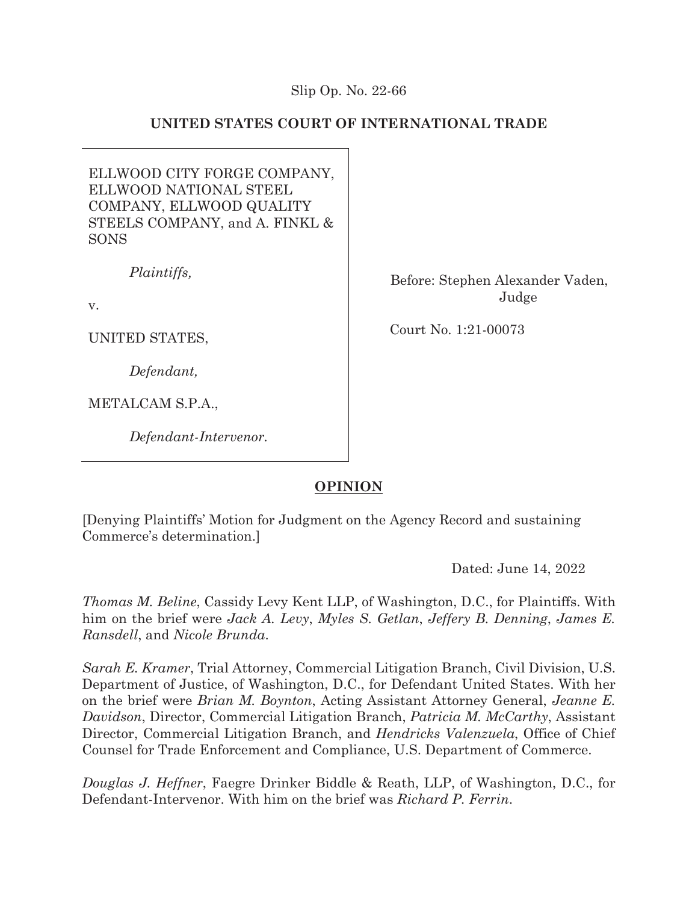# Slip Op. No. 22-66

# **UNITED STATES COURT OF INTERNATIONAL TRADE**

ELLWOOD CITY FORGE COMPANY, ELLWOOD NATIONAL STEEL COMPANY, ELLWOOD QUALITY STEELS COMPANY, and A. FINKL & SONS

*Plaintiffs,* 

v.

UNITED STATES,

 *Defendant,* 

METALCAM S.P.A.,

*Defendant-Intervenor.* 

Before: Stephen Alexander Vaden, Judge

Court No. 1:21-00073

# **OPINION**

[Denying Plaintiffs' Motion for Judgment on the Agency Record and sustaining Commerce's determination.]

Dated: June 14, 2022

*Thomas M. Beline*, Cassidy Levy Kent LLP, of Washington, D.C., for Plaintiffs. With him on the brief were *Jack A. Levy*, *Myles S. Getlan*, *Jeffery B. Denning*, *James E. Ransdell*, and *Nicole Brunda*.

*Sarah E. Kramer*, Trial Attorney, Commercial Litigation Branch, Civil Division, U.S. Department of Justice, of Washington, D.C., for Defendant United States. With her on the brief were *Brian M. Boynton*, Acting Assistant Attorney General, *Jeanne E. Davidson*, Director, Commercial Litigation Branch, *Patricia M. McCarthy*, Assistant Director, Commercial Litigation Branch, and *Hendricks Valenzuela*, Office of Chief Counsel for Trade Enforcement and Compliance, U.S. Department of Commerce.

*Douglas J. Heffner*, Faegre Drinker Biddle & Reath, LLP, of Washington, D.C., for Defendant-Intervenor. With him on the brief was *Richard P. Ferrin*.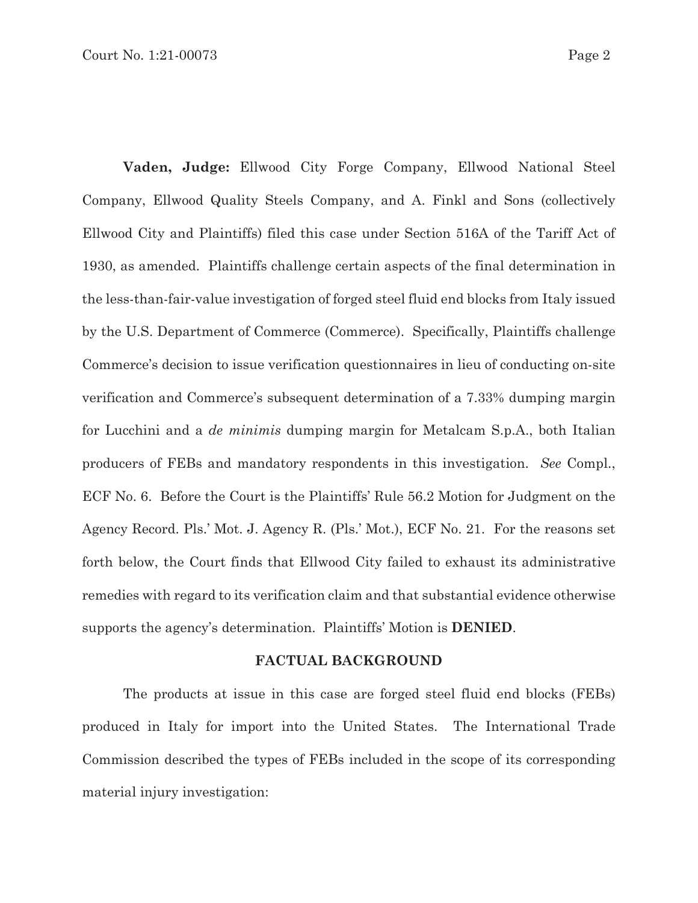**Vaden, Judge:** Ellwood City Forge Company, Ellwood National Steel Company, Ellwood Quality Steels Company, and A. Finkl and Sons (collectively Ellwood City and Plaintiffs) filed this case under Section 516A of the Tariff Act of 1930, as amended. Plaintiffs challenge certain aspects of the final determination in the less-than-fair-value investigation of forged steel fluid end blocks from Italy issued by the U.S. Department of Commerce (Commerce). Specifically, Plaintiffs challenge Commerce's decision to issue verification questionnaires in lieu of conducting on-site verification and Commerce's subsequent determination of a 7.33% dumping margin for Lucchini and a *de minimis* dumping margin for Metalcam S.p.A., both Italian producers of FEBs and mandatory respondents in this investigation. *See* Compl., ECF No. 6. Before the Court is the Plaintiffs' Rule 56.2 Motion for Judgment on the Agency Record. Pls.' Mot. J. Agency R. (Pls.' Mot.), ECF No. 21. For the reasons set forth below, the Court finds that Ellwood City failed to exhaust its administrative remedies with regard to its verification claim and that substantial evidence otherwise supports the agency's determination. Plaintiffs' Motion is **DENIED**.

#### **FACTUAL BACKGROUND**

 The products at issue in this case are forged steel fluid end blocks (FEBs) produced in Italy for import into the United States. The International Trade Commission described the types of FEBs included in the scope of its corresponding material injury investigation: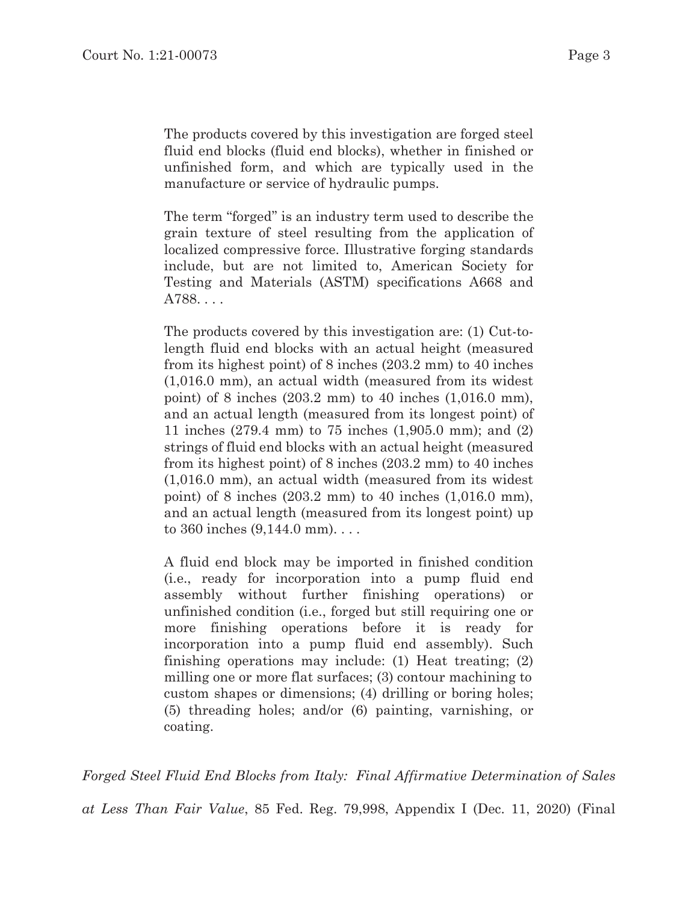The products covered by this investigation are forged steel fluid end blocks (fluid end blocks), whether in finished or unfinished form, and which are typically used in the manufacture or service of hydraulic pumps.

The term "forged" is an industry term used to describe the grain texture of steel resulting from the application of localized compressive force. Illustrative forging standards include, but are not limited to, American Society for Testing and Materials (ASTM) specifications A668 and A788. . . .

The products covered by this investigation are: (1) Cut-tolength fluid end blocks with an actual height (measured from its highest point) of 8 inches (203.2 mm) to 40 inches (1,016.0 mm), an actual width (measured from its widest point) of 8 inches (203.2 mm) to 40 inches (1,016.0 mm), and an actual length (measured from its longest point) of 11 inches (279.4 mm) to 75 inches (1,905.0 mm); and (2) strings of fluid end blocks with an actual height (measured from its highest point) of 8 inches (203.2 mm) to 40 inches (1,016.0 mm), an actual width (measured from its widest point) of 8 inches (203.2 mm) to 40 inches (1,016.0 mm), and an actual length (measured from its longest point) up to 360 inches (9,144.0 mm). . . .

A fluid end block may be imported in finished condition (i.e., ready for incorporation into a pump fluid end assembly without further finishing operations) or unfinished condition (i.e., forged but still requiring one or more finishing operations before it is ready for incorporation into a pump fluid end assembly). Such finishing operations may include: (1) Heat treating; (2) milling one or more flat surfaces; (3) contour machining to custom shapes or dimensions; (4) drilling or boring holes; (5) threading holes; and/or (6) painting, varnishing, or coating.

*Forged Steel Fluid End Blocks from Italy: Final Affirmative Determination of Sales* 

*at Less Than Fair Value*, 85 Fed. Reg. 79,998, Appendix I (Dec. 11, 2020) (Final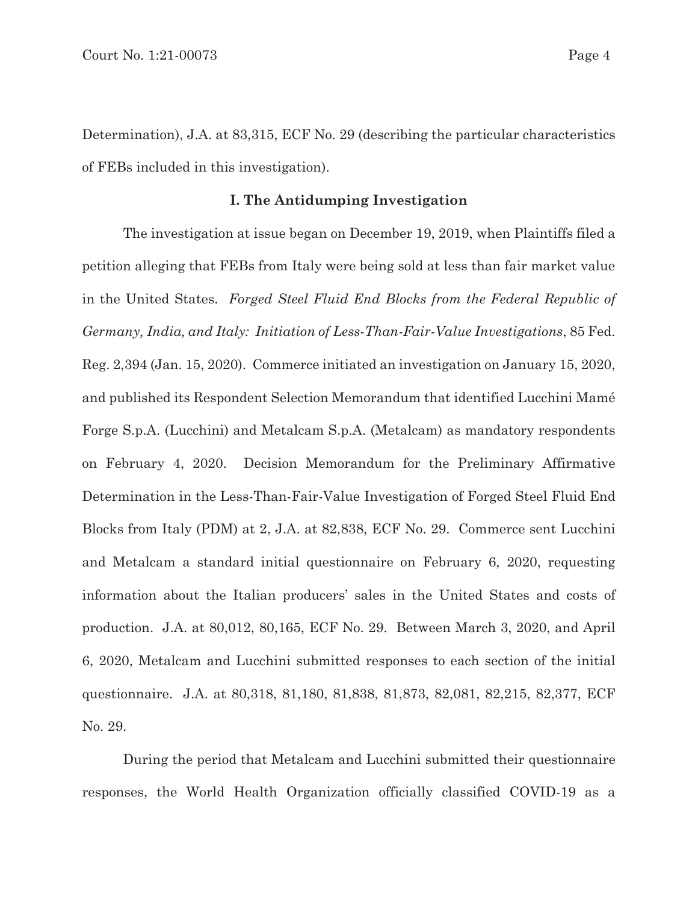Determination), J.A. at 83,315, ECF No. 29 (describing the particular characteristics of FEBs included in this investigation).

# **I. The Antidumping Investigation**

The investigation at issue began on December 19, 2019, when Plaintiffs filed a petition alleging that FEBs from Italy were being sold at less than fair market value in the United States. *Forged Steel Fluid End Blocks from the Federal Republic of Germany, India, and Italy: Initiation of Less-Than-Fair-Value Investigations*, 85 Fed. Reg. 2,394 (Jan. 15, 2020). Commerce initiated an investigation on January 15, 2020, and published its Respondent Selection Memorandum that identified Lucchini Mamé Forge S.p.A. (Lucchini) and Metalcam S.p.A. (Metalcam) as mandatory respondents on February 4, 2020. Decision Memorandum for the Preliminary Affirmative Determination in the Less-Than-Fair-Value Investigation of Forged Steel Fluid End Blocks from Italy (PDM) at 2, J.A. at 82,838, ECF No. 29. Commerce sent Lucchini and Metalcam a standard initial questionnaire on February 6, 2020, requesting information about the Italian producers' sales in the United States and costs of production. J.A. at 80,012, 80,165, ECF No. 29. Between March 3, 2020, and April 6, 2020, Metalcam and Lucchini submitted responses to each section of the initial questionnaire. J.A. at 80,318, 81,180, 81,838, 81,873, 82,081, 82,215, 82,377, ECF No. 29.

During the period that Metalcam and Lucchini submitted their questionnaire responses, the World Health Organization officially classified COVID-19 as a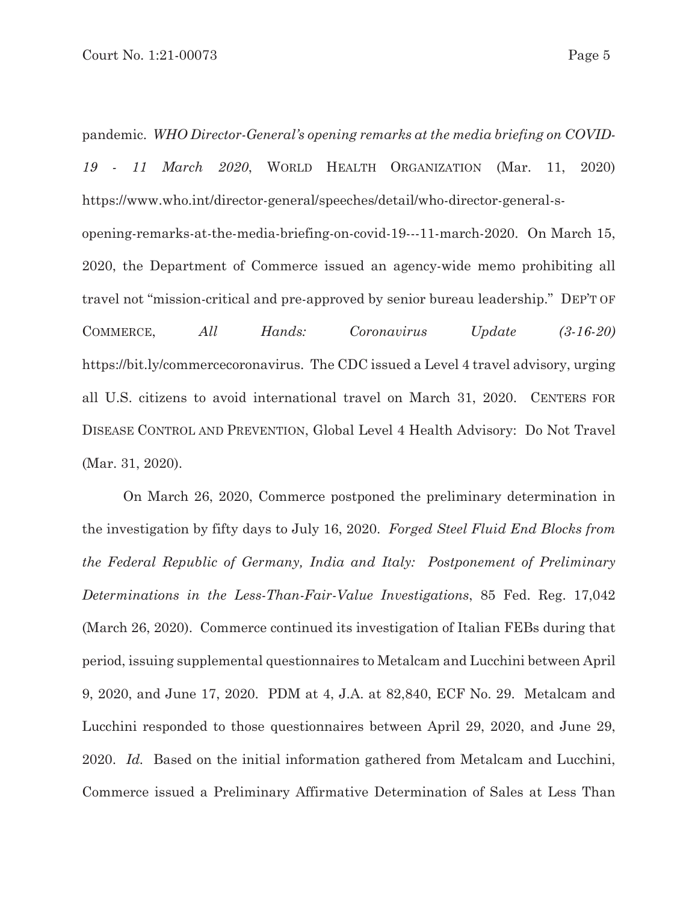pandemic. *WHO Director-General's opening remarks at the media briefing on COVID-19 - 11 March 2020*, WORLD HEALTH ORGANIZATION (Mar. 11, 2020) https://www.who.int/director-general/speeches/detail/who-director-general-sopening-remarks-at-the-media-briefing-on-covid-19---11-march-2020. On March 15, 2020, the Department of Commerce issued an agency-wide memo prohibiting all travel not "mission-critical and pre-approved by senior bureau leadership." DEP'T OF COMMERCE, *All Hands: Coronavirus Update (3-16-20)* https://bit.ly/commercecoronavirus. The CDC issued a Level 4 travel advisory, urging all U.S. citizens to avoid international travel on March 31, 2020. CENTERS FOR DISEASE CONTROL AND PREVENTION, Global Level 4 Health Advisory: Do Not Travel (Mar. 31, 2020).

On March 26, 2020, Commerce postponed the preliminary determination in the investigation by fifty days to July 16, 2020. *Forged Steel Fluid End Blocks from the Federal Republic of Germany, India and Italy: Postponement of Preliminary Determinations in the Less-Than-Fair-Value Investigations*, 85 Fed. Reg. 17,042 (March 26, 2020). Commerce continued its investigation of Italian FEBs during that period, issuing supplemental questionnaires to Metalcam and Lucchini between April 9, 2020, and June 17, 2020. PDM at 4, J.A. at 82,840, ECF No. 29. Metalcam and Lucchini responded to those questionnaires between April 29, 2020, and June 29, 2020. *Id.* Based on the initial information gathered from Metalcam and Lucchini, Commerce issued a Preliminary Affirmative Determination of Sales at Less Than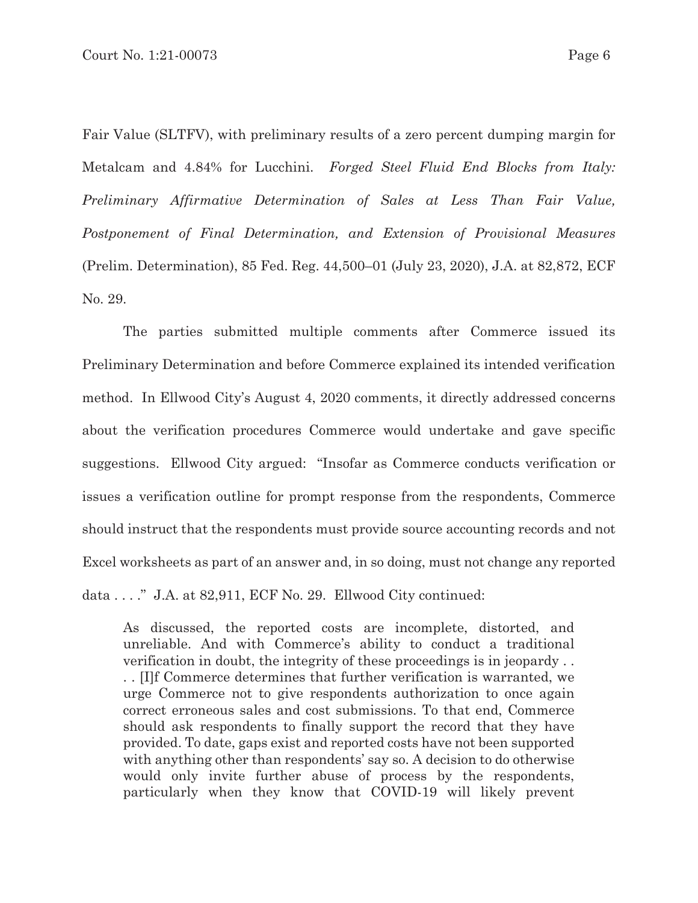Fair Value (SLTFV), with preliminary results of a zero percent dumping margin for Metalcam and 4.84% for Lucchini. *Forged Steel Fluid End Blocks from Italy: Preliminary Affirmative Determination of Sales at Less Than Fair Value, Postponement of Final Determination, and Extension of Provisional Measures*  (Prelim. Determination), 85 Fed. Reg. 44,500–01 (July 23, 2020), J.A. at 82,872, ECF No. 29.

The parties submitted multiple comments after Commerce issued its Preliminary Determination and before Commerce explained its intended verification method. In Ellwood City's August 4, 2020 comments, it directly addressed concerns about the verification procedures Commerce would undertake and gave specific suggestions. Ellwood City argued: "Insofar as Commerce conducts verification or issues a verification outline for prompt response from the respondents, Commerce should instruct that the respondents must provide source accounting records and not Excel worksheets as part of an answer and, in so doing, must not change any reported data . . . ." J.A. at 82,911, ECF No. 29. Ellwood City continued:

As discussed, the reported costs are incomplete, distorted, and unreliable. And with Commerce's ability to conduct a traditional verification in doubt, the integrity of these proceedings is in jeopardy . . . . [I]f Commerce determines that further verification is warranted, we urge Commerce not to give respondents authorization to once again correct erroneous sales and cost submissions. To that end, Commerce should ask respondents to finally support the record that they have provided. To date, gaps exist and reported costs have not been supported with anything other than respondents' say so. A decision to do otherwise would only invite further abuse of process by the respondents, particularly when they know that COVID-19 will likely prevent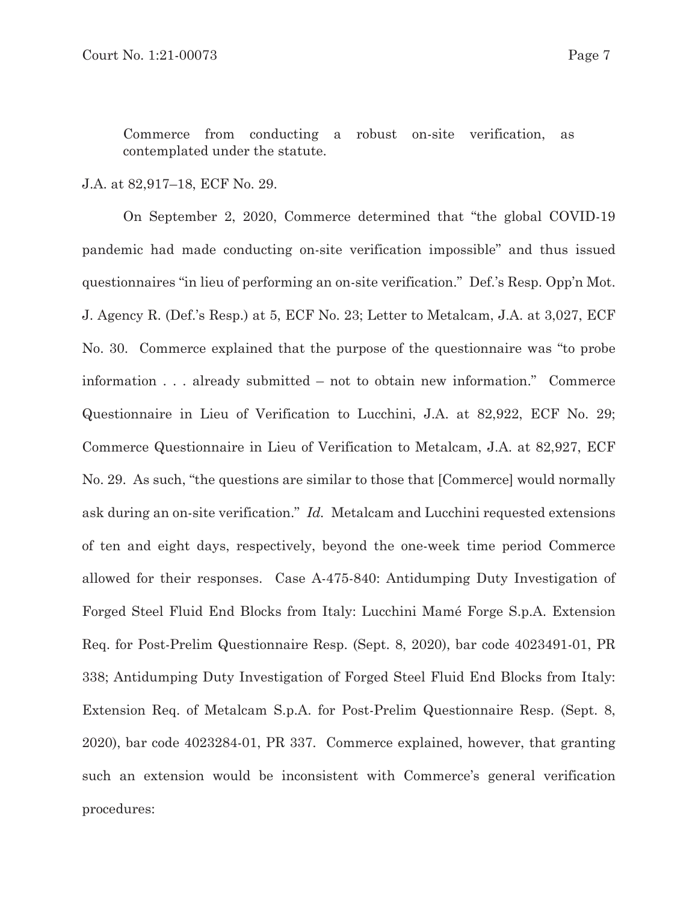Commerce from conducting a robust on-site verification, as contemplated under the statute.

### J.A. at 82,917–18, ECF No. 29.

On September 2, 2020, Commerce determined that "the global COVID-19 pandemic had made conducting on-site verification impossible" and thus issued questionnaires "in lieu of performing an on-site verification." Def.'s Resp. Opp'n Mot. J. Agency R. (Def.'s Resp.) at 5, ECF No. 23; Letter to Metalcam, J.A. at 3,027, ECF No. 30. Commerce explained that the purpose of the questionnaire was "to probe information . . . already submitted – not to obtain new information." Commerce Questionnaire in Lieu of Verification to Lucchini, J.A. at 82,922, ECF No. 29; Commerce Questionnaire in Lieu of Verification to Metalcam, J.A. at 82,927, ECF No. 29. As such, "the questions are similar to those that [Commerce] would normally ask during an on-site verification." *Id.* Metalcam and Lucchini requested extensions of ten and eight days, respectively, beyond the one-week time period Commerce allowed for their responses. Case A-475-840: Antidumping Duty Investigation of Forged Steel Fluid End Blocks from Italy: Lucchini Mamé Forge S.p.A. Extension Req. for Post-Prelim Questionnaire Resp. (Sept. 8, 2020), bar code 4023491-01, PR 338; Antidumping Duty Investigation of Forged Steel Fluid End Blocks from Italy: Extension Req. of Metalcam S.p.A. for Post-Prelim Questionnaire Resp. (Sept. 8, 2020), bar code 4023284-01, PR 337. Commerce explained, however, that granting such an extension would be inconsistent with Commerce's general verification procedures: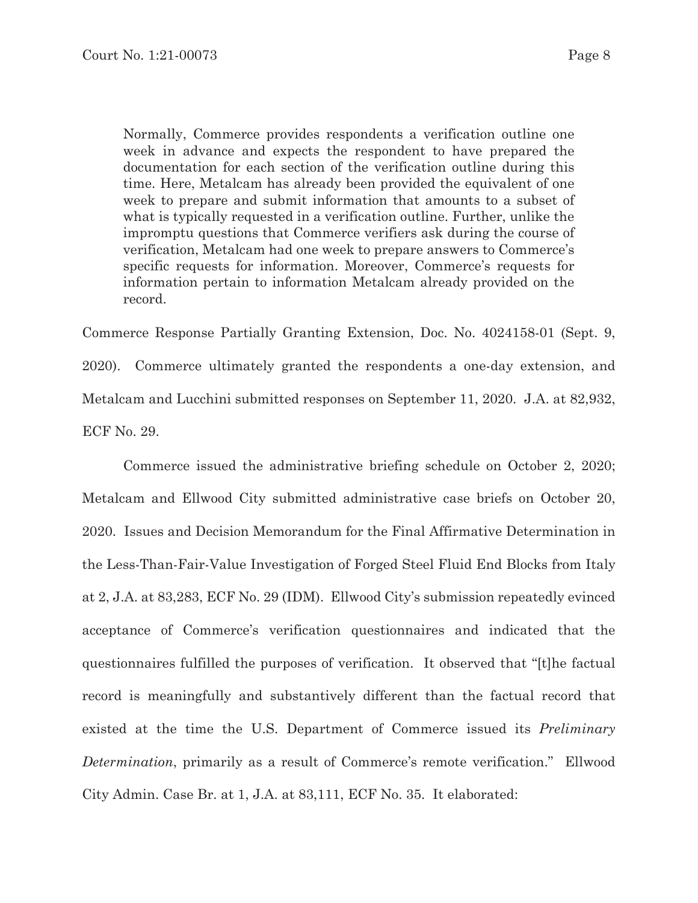Normally, Commerce provides respondents a verification outline one week in advance and expects the respondent to have prepared the documentation for each section of the verification outline during this time. Here, Metalcam has already been provided the equivalent of one week to prepare and submit information that amounts to a subset of what is typically requested in a verification outline. Further, unlike the impromptu questions that Commerce verifiers ask during the course of verification, Metalcam had one week to prepare answers to Commerce's specific requests for information. Moreover, Commerce's requests for information pertain to information Metalcam already provided on the record.

Commerce Response Partially Granting Extension, Doc. No. 4024158-01 (Sept. 9, 2020). Commerce ultimately granted the respondents a one-day extension, and Metalcam and Lucchini submitted responses on September 11, 2020. J.A. at 82,932, ECF No. 29.

Commerce issued the administrative briefing schedule on October 2, 2020; Metalcam and Ellwood City submitted administrative case briefs on October 20, 2020. Issues and Decision Memorandum for the Final Affirmative Determination in the Less-Than-Fair-Value Investigation of Forged Steel Fluid End Blocks from Italy at 2, J.A. at 83,283, ECF No. 29 (IDM). Ellwood City's submission repeatedly evinced acceptance of Commerce's verification questionnaires and indicated that the questionnaires fulfilled the purposes of verification. It observed that "[t]he factual record is meaningfully and substantively different than the factual record that existed at the time the U.S. Department of Commerce issued its *Preliminary Determination*, primarily as a result of Commerce's remote verification." Ellwood City Admin. Case Br. at 1, J.A. at 83,111, ECF No. 35. It elaborated: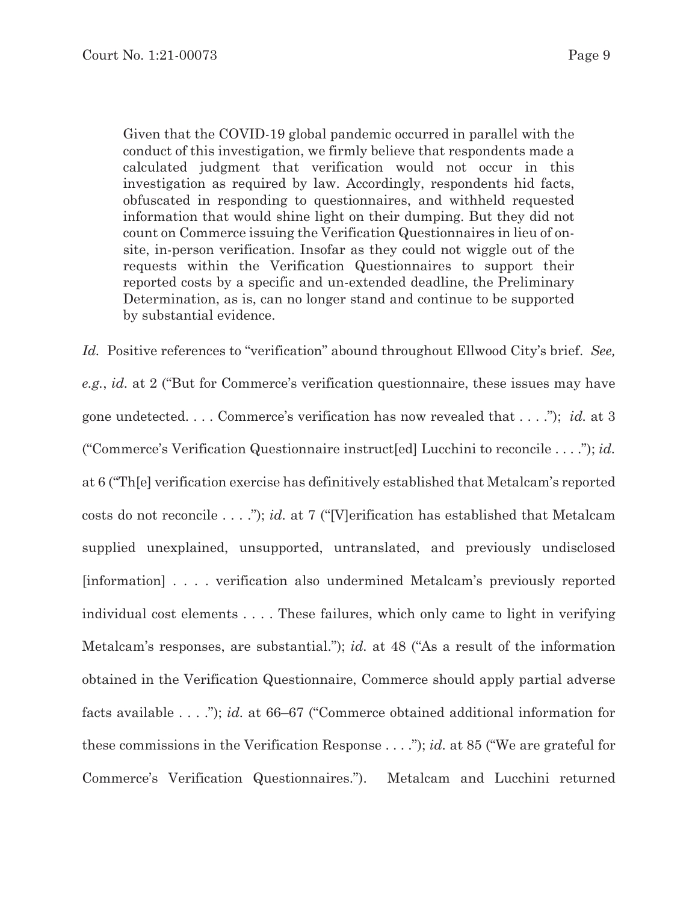Given that the COVID-19 global pandemic occurred in parallel with the conduct of this investigation, we firmly believe that respondents made a calculated judgment that verification would not occur in this investigation as required by law. Accordingly, respondents hid facts, obfuscated in responding to questionnaires, and withheld requested information that would shine light on their dumping. But they did not count on Commerce issuing the Verification Questionnaires in lieu of onsite, in-person verification. Insofar as they could not wiggle out of the requests within the Verification Questionnaires to support their reported costs by a specific and un-extended deadline, the Preliminary Determination, as is, can no longer stand and continue to be supported by substantial evidence.

*Id.* Positive references to "verification" abound throughout Ellwood City's brief. *See, e.g.*, *id.* at 2 ("But for Commerce's verification questionnaire, these issues may have gone undetected. . . . Commerce's verification has now revealed that . . . ."); *id.* at 3 ("Commerce's Verification Questionnaire instruct[ed] Lucchini to reconcile . . . ."); *id.* at 6 ("Th[e] verification exercise has definitively established that Metalcam's reported costs do not reconcile . . . ."); *id.* at 7 ("[V]erification has established that Metalcam supplied unexplained, unsupported, untranslated, and previously undisclosed [information] . . . . verification also undermined Metalcam's previously reported individual cost elements . . . . These failures, which only came to light in verifying Metalcam's responses, are substantial."); *id.* at 48 ("As a result of the information obtained in the Verification Questionnaire, Commerce should apply partial adverse facts available . . . ."); *id.* at 66–67 ("Commerce obtained additional information for these commissions in the Verification Response . . . ."); *id.* at 85 ("We are grateful for Commerce's Verification Questionnaires."). Metalcam and Lucchini returned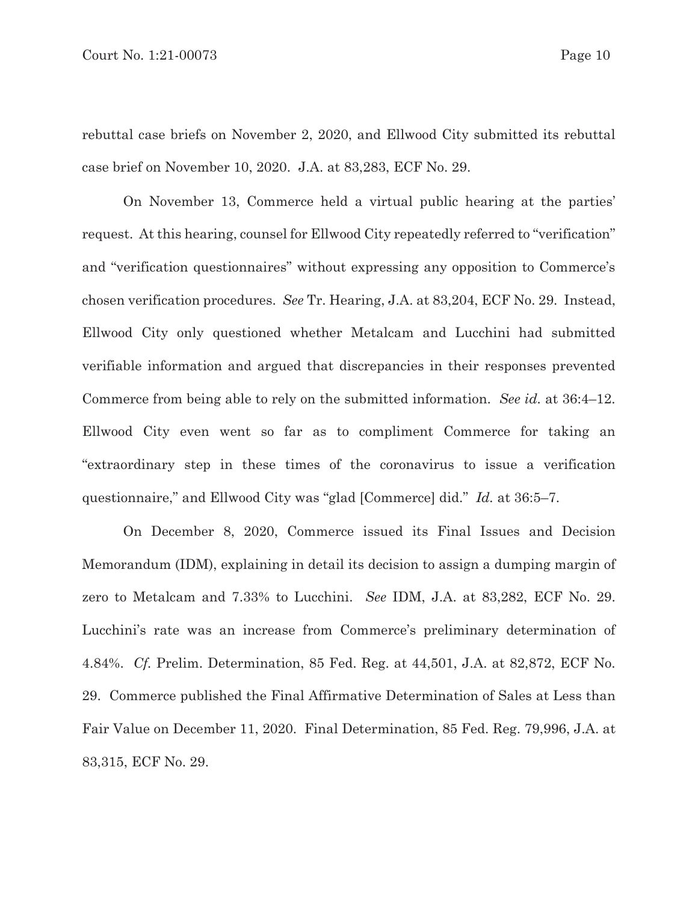rebuttal case briefs on November 2, 2020, and Ellwood City submitted its rebuttal case brief on November 10, 2020. J.A. at 83,283, ECF No. 29.

On November 13, Commerce held a virtual public hearing at the parties' request. At this hearing, counsel for Ellwood City repeatedly referred to "verification" and "verification questionnaires" without expressing any opposition to Commerce's chosen verification procedures. *See* Tr. Hearing, J.A. at 83,204, ECF No. 29. Instead, Ellwood City only questioned whether Metalcam and Lucchini had submitted verifiable information and argued that discrepancies in their responses prevented Commerce from being able to rely on the submitted information. *See id.* at 36:4–12. Ellwood City even went so far as to compliment Commerce for taking an "extraordinary step in these times of the coronavirus to issue a verification questionnaire," and Ellwood City was "glad [Commerce] did." *Id.* at 36:5–7.

On December 8, 2020, Commerce issued its Final Issues and Decision Memorandum (IDM), explaining in detail its decision to assign a dumping margin of zero to Metalcam and 7.33% to Lucchini. *See* IDM, J.A. at 83,282, ECF No. 29. Lucchini's rate was an increase from Commerce's preliminary determination of 4.84%. *Cf.* Prelim. Determination, 85 Fed. Reg. at 44,501, J.A. at 82,872, ECF No. 29. Commerce published the Final Affirmative Determination of Sales at Less than Fair Value on December 11, 2020. Final Determination, 85 Fed. Reg. 79,996, J.A. at 83,315, ECF No. 29.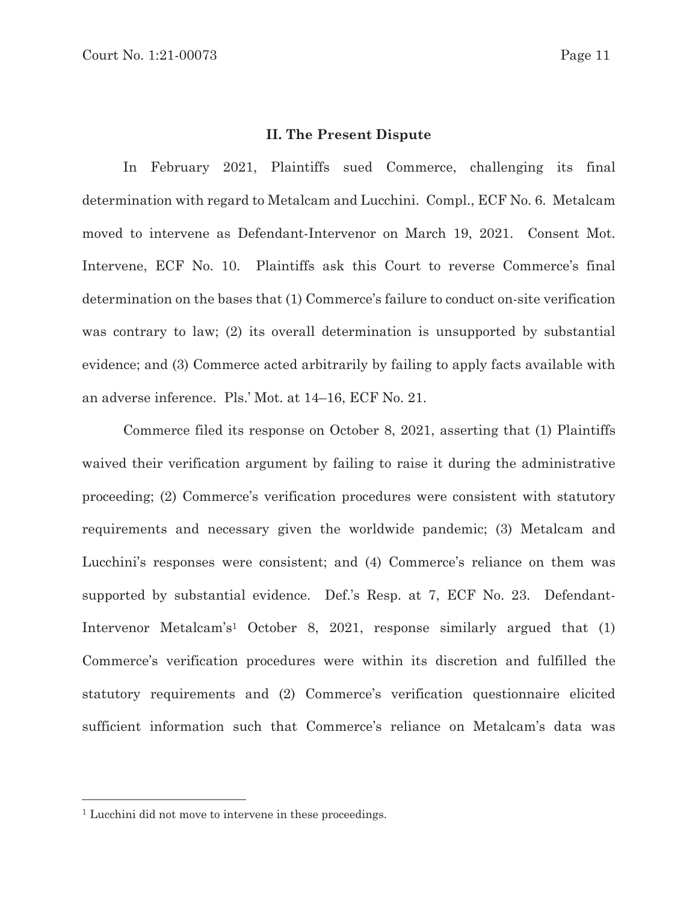### **II. The Present Dispute**

 In February 2021, Plaintiffs sued Commerce, challenging its final determination with regard to Metalcam and Lucchini. Compl., ECF No. 6. Metalcam moved to intervene as Defendant-Intervenor on March 19, 2021. Consent Mot. Intervene, ECF No. 10. Plaintiffs ask this Court to reverse Commerce's final determination on the bases that (1) Commerce's failure to conduct on-site verification was contrary to law; (2) its overall determination is unsupported by substantial evidence; and (3) Commerce acted arbitrarily by failing to apply facts available with an adverse inference. Pls.' Mot. at 14–16, ECF No. 21.

Commerce filed its response on October 8, 2021, asserting that (1) Plaintiffs waived their verification argument by failing to raise it during the administrative proceeding; (2) Commerce's verification procedures were consistent with statutory requirements and necessary given the worldwide pandemic; (3) Metalcam and Lucchini's responses were consistent; and (4) Commerce's reliance on them was supported by substantial evidence. Def.'s Resp. at 7, ECF No. 23. Defendant-Intervenor Metalcam's1 October 8, 2021, response similarly argued that (1) Commerce's verification procedures were within its discretion and fulfilled the statutory requirements and (2) Commerce's verification questionnaire elicited sufficient information such that Commerce's reliance on Metalcam's data was

<sup>&</sup>lt;sup>1</sup> Lucchini did not move to intervene in these proceedings.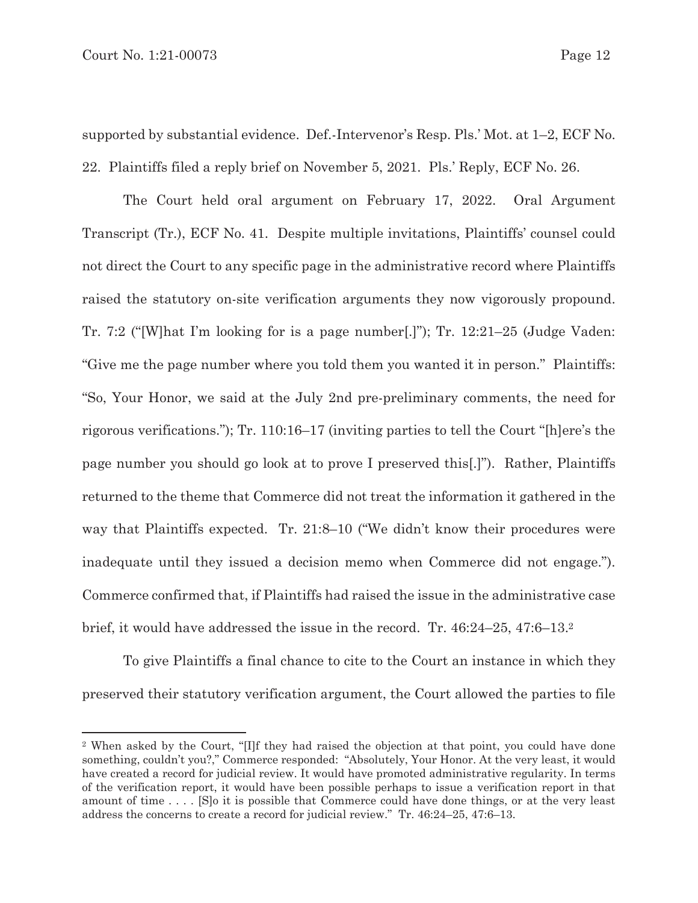supported by substantial evidence. Def.-Intervenor's Resp. Pls.' Mot. at 1–2, ECF No. 22. Plaintiffs filed a reply brief on November 5, 2021. Pls.' Reply, ECF No. 26.

The Court held oral argument on February 17, 2022. Oral Argument Transcript (Tr.), ECF No. 41. Despite multiple invitations, Plaintiffs' counsel could not direct the Court to any specific page in the administrative record where Plaintiffs raised the statutory on-site verification arguments they now vigorously propound. Tr. 7:2 ("[W]hat I'm looking for is a page number[.]"); Tr. 12:21–25 (Judge Vaden: "Give me the page number where you told them you wanted it in person." Plaintiffs: "So, Your Honor, we said at the July 2nd pre-preliminary comments, the need for rigorous verifications."); Tr. 110:16–17 (inviting parties to tell the Court "[h]ere's the page number you should go look at to prove I preserved this[.]"). Rather, Plaintiffs returned to the theme that Commerce did not treat the information it gathered in the way that Plaintiffs expected. Tr. 21:8–10 ("We didn't know their procedures were inadequate until they issued a decision memo when Commerce did not engage."). Commerce confirmed that, if Plaintiffs had raised the issue in the administrative case brief, it would have addressed the issue in the record. Tr. 46:24–25, 47:6–13.2

To give Plaintiffs a final chance to cite to the Court an instance in which they preserved their statutory verification argument, the Court allowed the parties to file

<sup>2</sup> When asked by the Court, "[I]f they had raised the objection at that point, you could have done something, couldn't you?," Commerce responded: "Absolutely, Your Honor. At the very least, it would have created a record for judicial review. It would have promoted administrative regularity. In terms of the verification report, it would have been possible perhaps to issue a verification report in that amount of time . . . . [S]o it is possible that Commerce could have done things, or at the very least address the concerns to create a record for judicial review." Tr. 46:24–25, 47:6–13.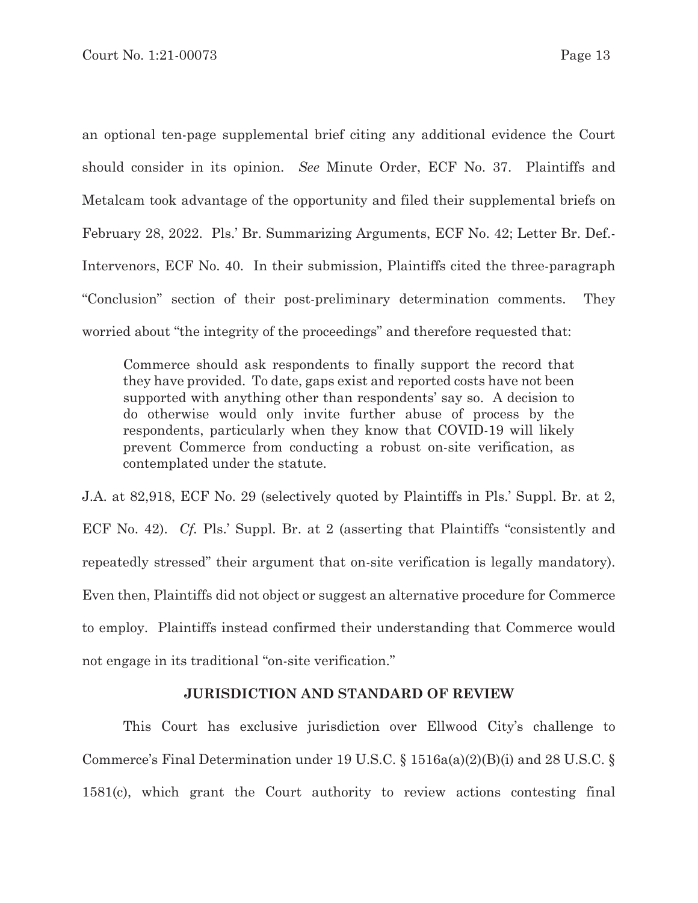an optional ten-page supplemental brief citing any additional evidence the Court should consider in its opinion. *See* Minute Order, ECF No. 37. Plaintiffs and Metalcam took advantage of the opportunity and filed their supplemental briefs on February 28, 2022. Pls.' Br. Summarizing Arguments, ECF No. 42; Letter Br. Def.- Intervenors, ECF No. 40. In their submission, Plaintiffs cited the three-paragraph "Conclusion" section of their post-preliminary determination comments. They worried about "the integrity of the proceedings" and therefore requested that:

Commerce should ask respondents to finally support the record that they have provided. To date, gaps exist and reported costs have not been supported with anything other than respondents' say so. A decision to do otherwise would only invite further abuse of process by the respondents, particularly when they know that COVID-19 will likely prevent Commerce from conducting a robust on-site verification, as contemplated under the statute.

J.A. at 82,918, ECF No. 29 (selectively quoted by Plaintiffs in Pls.' Suppl. Br. at 2, ECF No. 42). *Cf.* Pls.' Suppl. Br. at 2 (asserting that Plaintiffs "consistently and repeatedly stressed" their argument that on-site verification is legally mandatory). Even then, Plaintiffs did not object or suggest an alternative procedure for Commerce to employ. Plaintiffs instead confirmed their understanding that Commerce would not engage in its traditional "on-site verification."

### **JURISDICTION AND STANDARD OF REVIEW**

This Court has exclusive jurisdiction over Ellwood City's challenge to Commerce's Final Determination under 19 U.S.C. § 1516a(a)(2)(B)(i) and 28 U.S.C. § 1581(c), which grant the Court authority to review actions contesting final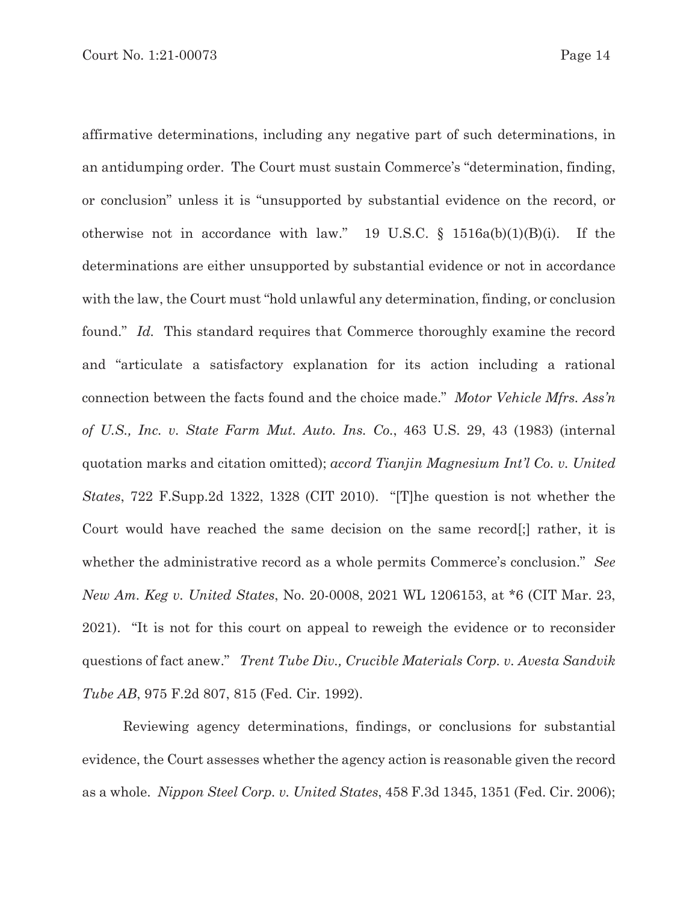affirmative determinations, including any negative part of such determinations, in an antidumping order. The Court must sustain Commerce's "determination, finding, or conclusion" unless it is "unsupported by substantial evidence on the record, or otherwise not in accordance with law." 19 U.S.C.  $\S$  1516a(b)(1)(B)(i). If the determinations are either unsupported by substantial evidence or not in accordance with the law, the Court must "hold unlawful any determination, finding, or conclusion found." *Id.* This standard requires that Commerce thoroughly examine the record and "articulate a satisfactory explanation for its action including a rational connection between the facts found and the choice made." *Motor Vehicle Mfrs. Ass'n of U.S., Inc. v. State Farm Mut. Auto. Ins. Co.*, 463 U.S. 29, 43 (1983) (internal quotation marks and citation omitted); *accord Tianjin Magnesium Int'l Co. v. United States*, 722 F.Supp.2d 1322, 1328 (CIT 2010). "[T]he question is not whether the Court would have reached the same decision on the same record[;] rather, it is whether the administrative record as a whole permits Commerce's conclusion." *See New Am. Keg v. United States*, No. 20-0008, 2021 WL 1206153, at \*6 (CIT Mar. 23, 2021). "It is not for this court on appeal to reweigh the evidence or to reconsider questions of fact anew." *Trent Tube Div., Crucible Materials Corp. v. Avesta Sandvik Tube AB*, 975 F.2d 807, 815 (Fed. Cir. 1992).

Reviewing agency determinations, findings, or conclusions for substantial evidence, the Court assesses whether the agency action is reasonable given the record as a whole. *Nippon Steel Corp. v. United States*, 458 F.3d 1345, 1351 (Fed. Cir. 2006);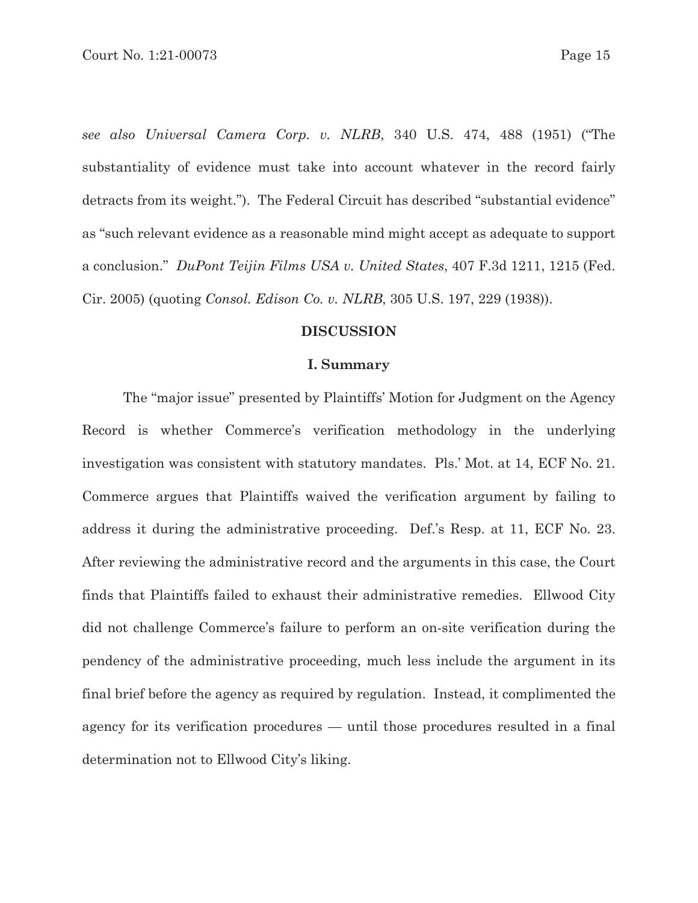*see also Universal Camera Corp. v. NLRB*, 340 U.S. 474, 488 (1951) ("The substantiality of evidence must take into account whatever in the record fairly detracts from its weight."). The Federal Circuit has described "substantial evidence" as "such relevant evidence as a reasonable mind might accept as adequate to support a conclusion." *DuPont Teijin Films USA v. United States*, 407 F.3d 1211, 1215 (Fed. Cir. 2005) (quoting *Consol. Edison Co. v. NLRB*, 305 U.S. 197, 229 (1938)).

### **DISCUSSION**

#### **I. Summary**

 The "major issue" presented by Plaintiffs' Motion for Judgment on the Agency Record is whether Commerce's verification methodology in the underlying investigation was consistent with statutory mandates. Pls.' Mot. at 14, ECF No. 21. Commerce argues that Plaintiffs waived the verification argument by failing to address it during the administrative proceeding. Def.'s Resp. at 11, ECF No. 23. After reviewing the administrative record and the arguments in this case, the Court finds that Plaintiffs failed to exhaust their administrative remedies. Ellwood City did not challenge Commerce's failure to perform an on-site verification during the pendency of the administrative proceeding, much less include the argument in its final brief before the agency as required by regulation. Instead, it complimented the agency for its verification procedures — until those procedures resulted in a final determination not to Ellwood City's liking.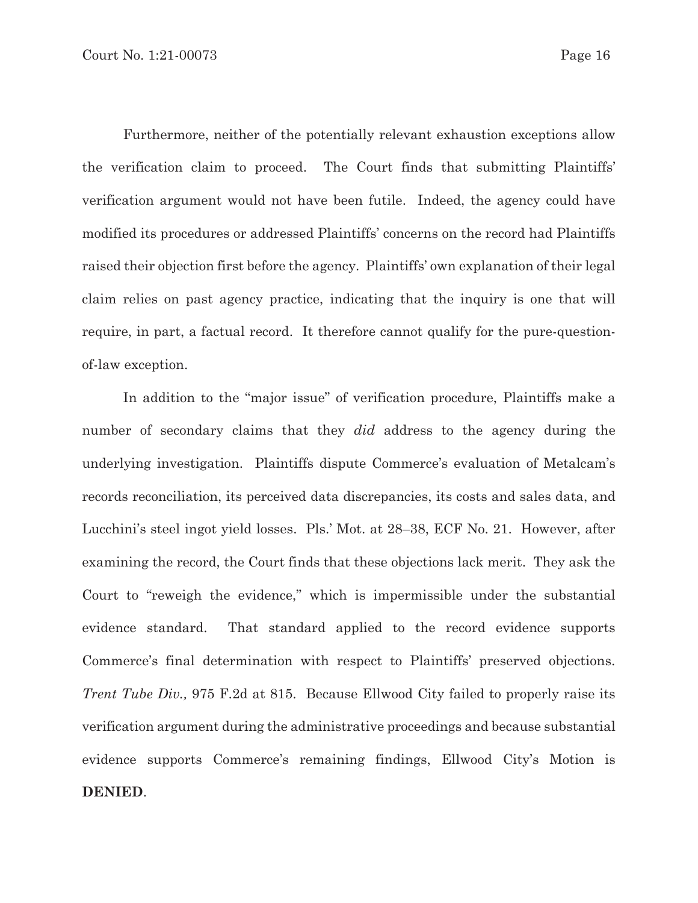Furthermore, neither of the potentially relevant exhaustion exceptions allow the verification claim to proceed. The Court finds that submitting Plaintiffs' verification argument would not have been futile. Indeed, the agency could have modified its procedures or addressed Plaintiffs' concerns on the record had Plaintiffs raised their objection first before the agency. Plaintiffs' own explanation of their legal claim relies on past agency practice, indicating that the inquiry is one that will require, in part, a factual record. It therefore cannot qualify for the pure-questionof-law exception.

 In addition to the "major issue" of verification procedure, Plaintiffs make a number of secondary claims that they *did* address to the agency during the underlying investigation. Plaintiffs dispute Commerce's evaluation of Metalcam's records reconciliation, its perceived data discrepancies, its costs and sales data, and Lucchini's steel ingot yield losses. Pls.' Mot. at 28–38, ECF No. 21. However, after examining the record, the Court finds that these objections lack merit. They ask the Court to "reweigh the evidence," which is impermissible under the substantial evidence standard. That standard applied to the record evidence supports Commerce's final determination with respect to Plaintiffs' preserved objections. *Trent Tube Div.,* 975 F.2d at 815. Because Ellwood City failed to properly raise its verification argument during the administrative proceedings and because substantial evidence supports Commerce's remaining findings, Ellwood City's Motion is **DENIED**.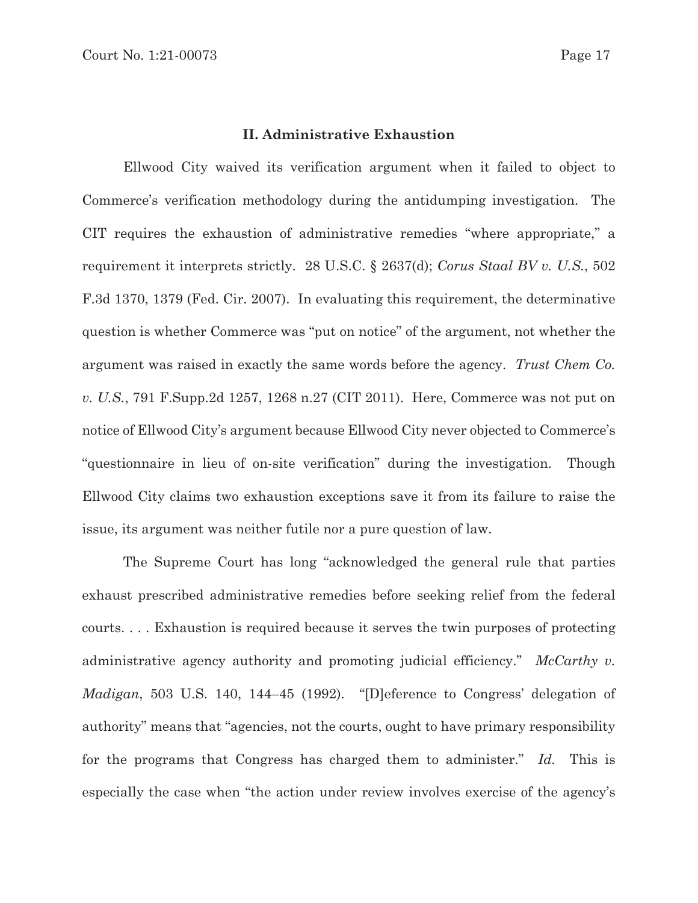### **II. Administrative Exhaustion**

Ellwood City waived its verification argument when it failed to object to Commerce's verification methodology during the antidumping investigation. The CIT requires the exhaustion of administrative remedies "where appropriate," a requirement it interprets strictly. 28 U.S.C. § 2637(d); *Corus Staal BV v. U.S.*, 502 F.3d 1370, 1379 (Fed. Cir. 2007). In evaluating this requirement, the determinative question is whether Commerce was "put on notice" of the argument, not whether the argument was raised in exactly the same words before the agency. *Trust Chem Co. v. U.S.*, 791 F.Supp.2d 1257, 1268 n.27 (CIT 2011). Here, Commerce was not put on notice of Ellwood City's argument because Ellwood City never objected to Commerce's "questionnaire in lieu of on-site verification" during the investigation. Though Ellwood City claims two exhaustion exceptions save it from its failure to raise the issue, its argument was neither futile nor a pure question of law.

The Supreme Court has long "acknowledged the general rule that parties exhaust prescribed administrative remedies before seeking relief from the federal courts. . . . Exhaustion is required because it serves the twin purposes of protecting administrative agency authority and promoting judicial efficiency." *McCarthy v. Madigan*, 503 U.S. 140, 144–45 (1992). "[D]eference to Congress' delegation of authority" means that "agencies, not the courts, ought to have primary responsibility for the programs that Congress has charged them to administer." *Id.* This is especially the case when "the action under review involves exercise of the agency's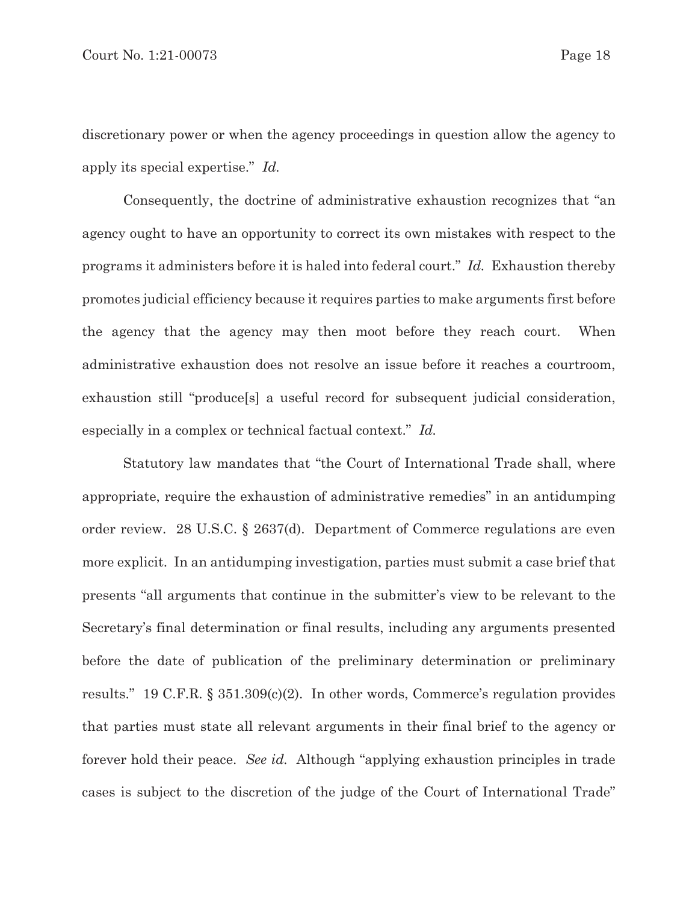discretionary power or when the agency proceedings in question allow the agency to apply its special expertise." *Id.*

Consequently, the doctrine of administrative exhaustion recognizes that "an agency ought to have an opportunity to correct its own mistakes with respect to the programs it administers before it is haled into federal court." *Id.* Exhaustion thereby promotes judicial efficiency because it requires parties to make arguments first before the agency that the agency may then moot before they reach court. When administrative exhaustion does not resolve an issue before it reaches a courtroom, exhaustion still "produce[s] a useful record for subsequent judicial consideration, especially in a complex or technical factual context." *Id.*

Statutory law mandates that "the Court of International Trade shall, where appropriate, require the exhaustion of administrative remedies" in an antidumping order review. 28 U.S.C. § 2637(d). Department of Commerce regulations are even more explicit. In an antidumping investigation, parties must submit a case brief that presents "all arguments that continue in the submitter's view to be relevant to the Secretary's final determination or final results, including any arguments presented before the date of publication of the preliminary determination or preliminary results." 19 C.F.R. § 351.309(c)(2). In other words, Commerce's regulation provides that parties must state all relevant arguments in their final brief to the agency or forever hold their peace. *See id.* Although "applying exhaustion principles in trade cases is subject to the discretion of the judge of the Court of International Trade"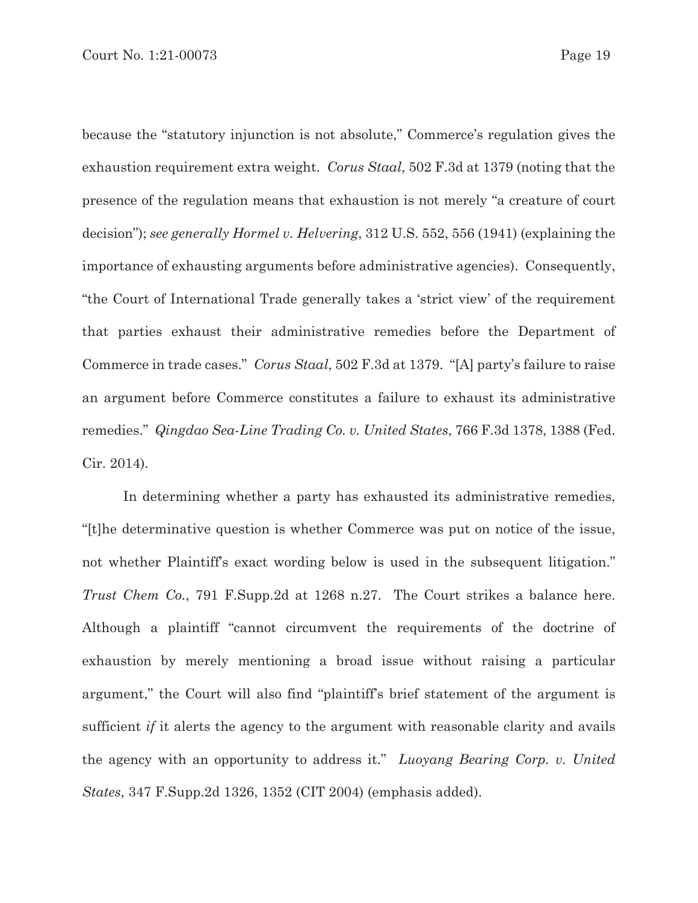because the "statutory injunction is not absolute," Commerce's regulation gives the exhaustion requirement extra weight. *Corus Staal*, 502 F.3d at 1379 (noting that the presence of the regulation means that exhaustion is not merely "a creature of court decision"); *see generally Hormel v. Helvering*, 312 U.S. 552, 556 (1941) (explaining the importance of exhausting arguments before administrative agencies). Consequently, "the Court of International Trade generally takes a 'strict view' of the requirement that parties exhaust their administrative remedies before the Department of Commerce in trade cases." *Corus Staal*, 502 F.3d at 1379. "[A] party's failure to raise an argument before Commerce constitutes a failure to exhaust its administrative remedies." *Qingdao Sea-Line Trading Co. v. United States*, 766 F.3d 1378, 1388 (Fed. Cir. 2014).

In determining whether a party has exhausted its administrative remedies, "[t]he determinative question is whether Commerce was put on notice of the issue, not whether Plaintiff's exact wording below is used in the subsequent litigation." *Trust Chem Co.*, 791 F.Supp.2d at 1268 n.27. The Court strikes a balance here. Although a plaintiff "cannot circumvent the requirements of the doctrine of exhaustion by merely mentioning a broad issue without raising a particular argument," the Court will also find "plaintiff's brief statement of the argument is sufficient *if* it alerts the agency to the argument with reasonable clarity and avails the agency with an opportunity to address it." *Luoyang Bearing Corp. v. United States*, 347 F.Supp.2d 1326, 1352 (CIT 2004) (emphasis added).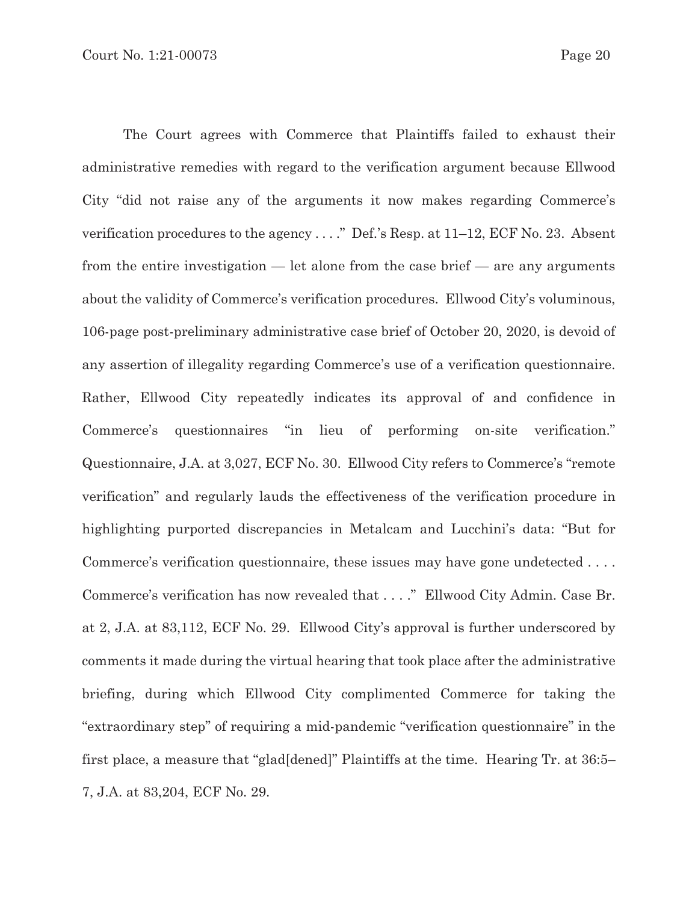The Court agrees with Commerce that Plaintiffs failed to exhaust their administrative remedies with regard to the verification argument because Ellwood City "did not raise any of the arguments it now makes regarding Commerce's verification procedures to the agency . . . ." Def.'s Resp. at 11–12, ECF No. 23. Absent from the entire investigation — let alone from the case brief — are any arguments about the validity of Commerce's verification procedures. Ellwood City's voluminous, 106-page post-preliminary administrative case brief of October 20, 2020, is devoid of any assertion of illegality regarding Commerce's use of a verification questionnaire. Rather, Ellwood City repeatedly indicates its approval of and confidence in Commerce's questionnaires "in lieu of performing on-site verification." Questionnaire, J.A. at 3,027, ECF No. 30. Ellwood City refers to Commerce's "remote verification" and regularly lauds the effectiveness of the verification procedure in highlighting purported discrepancies in Metalcam and Lucchini's data: "But for Commerce's verification questionnaire, these issues may have gone undetected . . . . Commerce's verification has now revealed that . . . ." Ellwood City Admin. Case Br. at 2, J.A. at 83,112, ECF No. 29. Ellwood City's approval is further underscored by comments it made during the virtual hearing that took place after the administrative briefing, during which Ellwood City complimented Commerce for taking the "extraordinary step" of requiring a mid-pandemic "verification questionnaire" in the first place, a measure that "glad[dened]" Plaintiffs at the time. Hearing Tr. at 36:5– 7, J.A. at 83,204, ECF No. 29.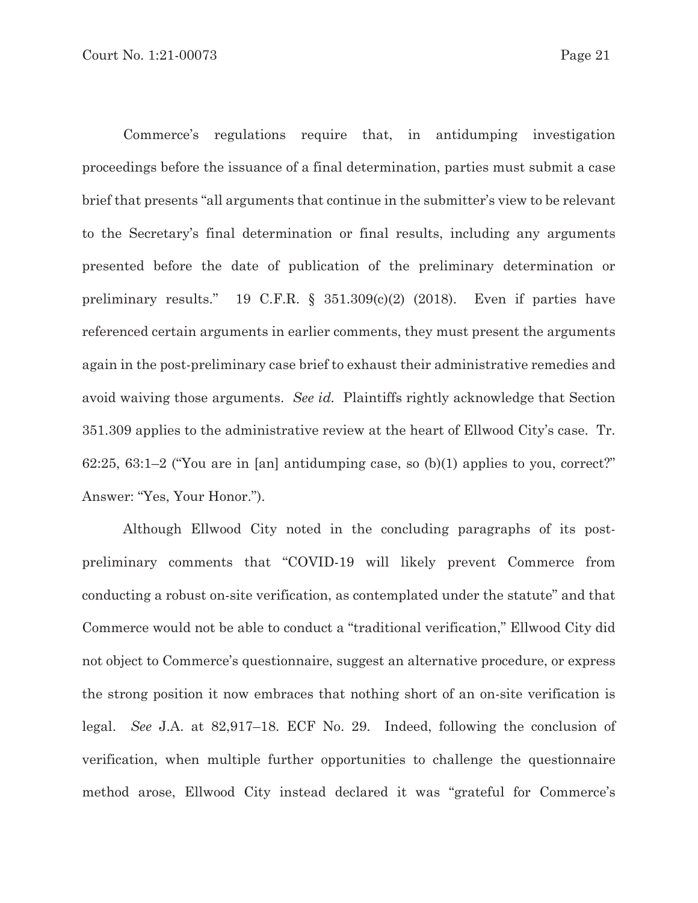Commerce's regulations require that, in antidumping investigation proceedings before the issuance of a final determination, parties must submit a case brief that presents "all arguments that continue in the submitter's view to be relevant to the Secretary's final determination or final results, including any arguments presented before the date of publication of the preliminary determination or preliminary results." 19 C.F.R. § 351.309(c)(2) (2018). Even if parties have referenced certain arguments in earlier comments, they must present the arguments again in the post-preliminary case brief to exhaust their administrative remedies and avoid waiving those arguments. *See id.* Plaintiffs rightly acknowledge that Section 351.309 applies to the administrative review at the heart of Ellwood City's case. Tr. 62:25, 63:1-2 ("You are in [an] antidumping case, so  $(b)(1)$  applies to you, correct?" Answer: "Yes, Your Honor.").

Although Ellwood City noted in the concluding paragraphs of its postpreliminary comments that "COVID-19 will likely prevent Commerce from conducting a robust on-site verification, as contemplated under the statute" and that Commerce would not be able to conduct a "traditional verification," Ellwood City did not object to Commerce's questionnaire, suggest an alternative procedure, or express the strong position it now embraces that nothing short of an on-site verification is legal. *See* J.A. at 82,917–18. ECF No. 29. Indeed, following the conclusion of verification, when multiple further opportunities to challenge the questionnaire method arose, Ellwood City instead declared it was "grateful for Commerce's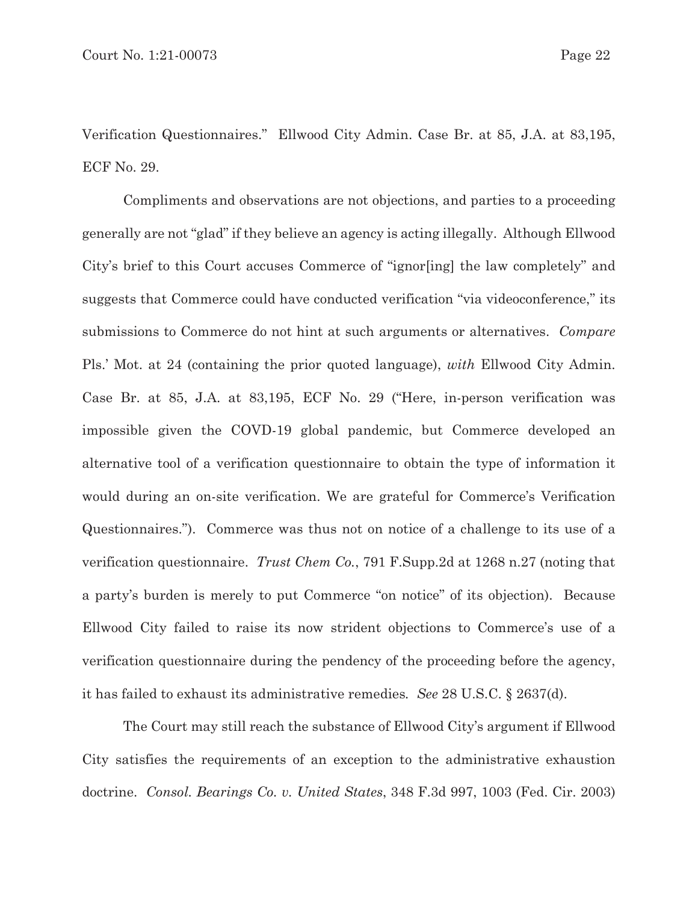Verification Questionnaires." Ellwood City Admin. Case Br. at 85, J.A. at 83,195, ECF No. 29.

Compliments and observations are not objections, and parties to a proceeding generally are not "glad" if they believe an agency is acting illegally. Although Ellwood City's brief to this Court accuses Commerce of "ignor[ing] the law completely" and suggests that Commerce could have conducted verification "via videoconference," its submissions to Commerce do not hint at such arguments or alternatives. *Compare* Pls.' Mot. at 24 (containing the prior quoted language), *with* Ellwood City Admin. Case Br. at 85, J.A. at 83,195, ECF No. 29 ("Here, in-person verification was impossible given the COVD-19 global pandemic, but Commerce developed an alternative tool of a verification questionnaire to obtain the type of information it would during an on-site verification. We are grateful for Commerce's Verification Questionnaires."). Commerce was thus not on notice of a challenge to its use of a verification questionnaire. *Trust Chem Co.*, 791 F.Supp.2d at 1268 n.27 (noting that a party's burden is merely to put Commerce "on notice" of its objection).Because Ellwood City failed to raise its now strident objections to Commerce's use of a verification questionnaire during the pendency of the proceeding before the agency, it has failed to exhaust its administrative remedies*. See* 28 U.S.C. § 2637(d).

The Court may still reach the substance of Ellwood City's argument if Ellwood City satisfies the requirements of an exception to the administrative exhaustion doctrine. *Consol. Bearings Co. v. United States*, 348 F.3d 997, 1003 (Fed. Cir. 2003)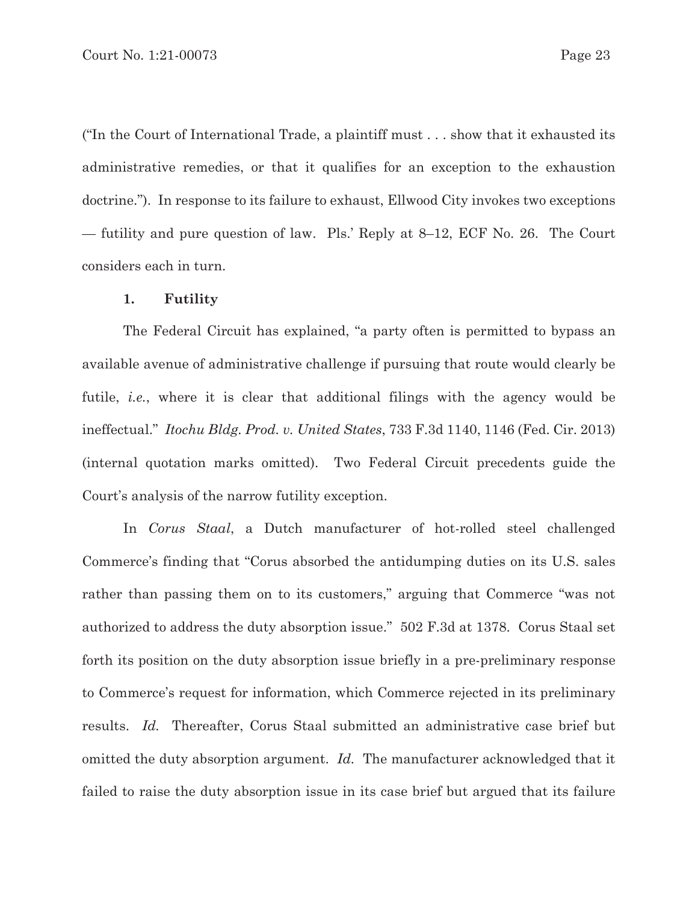("In the Court of International Trade, a plaintiff must . . . show that it exhausted its administrative remedies, or that it qualifies for an exception to the exhaustion doctrine."). In response to its failure to exhaust, Ellwood City invokes two exceptions — futility and pure question of law. Pls.' Reply at 8–12, ECF No. 26. The Court considers each in turn.

#### **1. Futility**

The Federal Circuit has explained, "a party often is permitted to bypass an available avenue of administrative challenge if pursuing that route would clearly be futile, *i.e.*, where it is clear that additional filings with the agency would be ineffectual." *Itochu Bldg. Prod. v. United States*, 733 F.3d 1140, 1146 (Fed. Cir. 2013) (internal quotation marks omitted). Two Federal Circuit precedents guide the Court's analysis of the narrow futility exception.

In *Corus Staal*, a Dutch manufacturer of hot-rolled steel challenged Commerce's finding that "Corus absorbed the antidumping duties on its U.S. sales rather than passing them on to its customers," arguing that Commerce "was not authorized to address the duty absorption issue." 502 F.3d at 1378. Corus Staal set forth its position on the duty absorption issue briefly in a pre-preliminary response to Commerce's request for information, which Commerce rejected in its preliminary results. *Id.* Thereafter, Corus Staal submitted an administrative case brief but omitted the duty absorption argument. *Id.* The manufacturer acknowledged that it failed to raise the duty absorption issue in its case brief but argued that its failure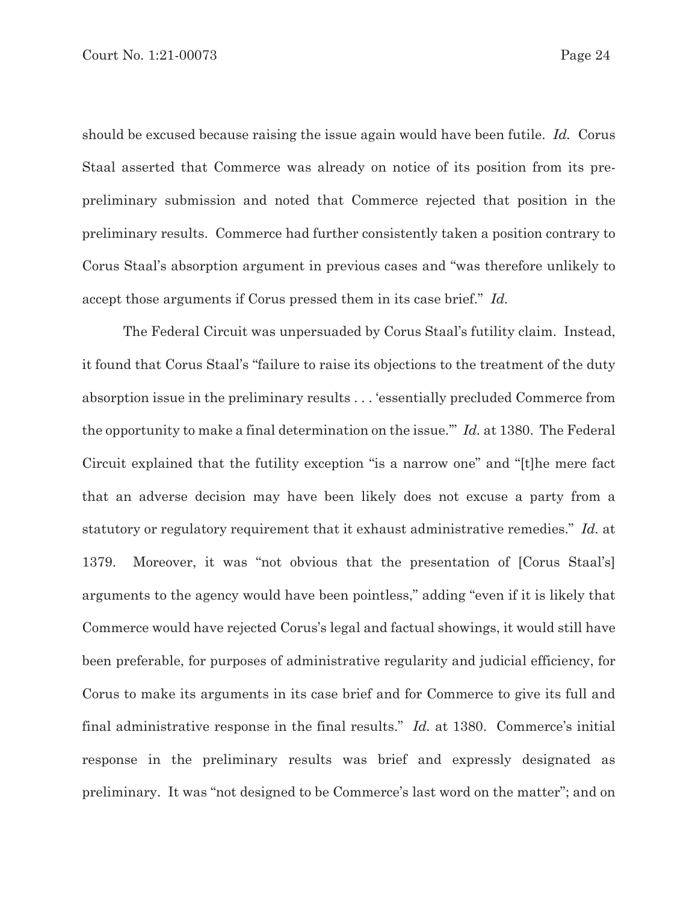should be excused because raising the issue again would have been futile. *Id.* Corus Staal asserted that Commerce was already on notice of its position from its prepreliminary submission and noted that Commerce rejected that position in the preliminary results. Commerce had further consistently taken a position contrary to Corus Staal's absorption argument in previous cases and "was therefore unlikely to accept those arguments if Corus pressed them in its case brief." *Id.*

The Federal Circuit was unpersuaded by Corus Staal's futility claim. Instead, it found that Corus Staal's "failure to raise its objections to the treatment of the duty absorption issue in the preliminary results . . . 'essentially precluded Commerce from the opportunity to make a final determination on the issue.'" *Id.* at 1380. The Federal Circuit explained that the futility exception "is a narrow one" and "[t]he mere fact that an adverse decision may have been likely does not excuse a party from a statutory or regulatory requirement that it exhaust administrative remedies." *Id.* at 1379. Moreover, it was "not obvious that the presentation of [Corus Staal's] arguments to the agency would have been pointless," adding "even if it is likely that Commerce would have rejected Corus's legal and factual showings, it would still have been preferable, for purposes of administrative regularity and judicial efficiency, for Corus to make its arguments in its case brief and for Commerce to give its full and final administrative response in the final results." *Id.* at 1380. Commerce's initial response in the preliminary results was brief and expressly designated as preliminary. It was "not designed to be Commerce's last word on the matter"; and on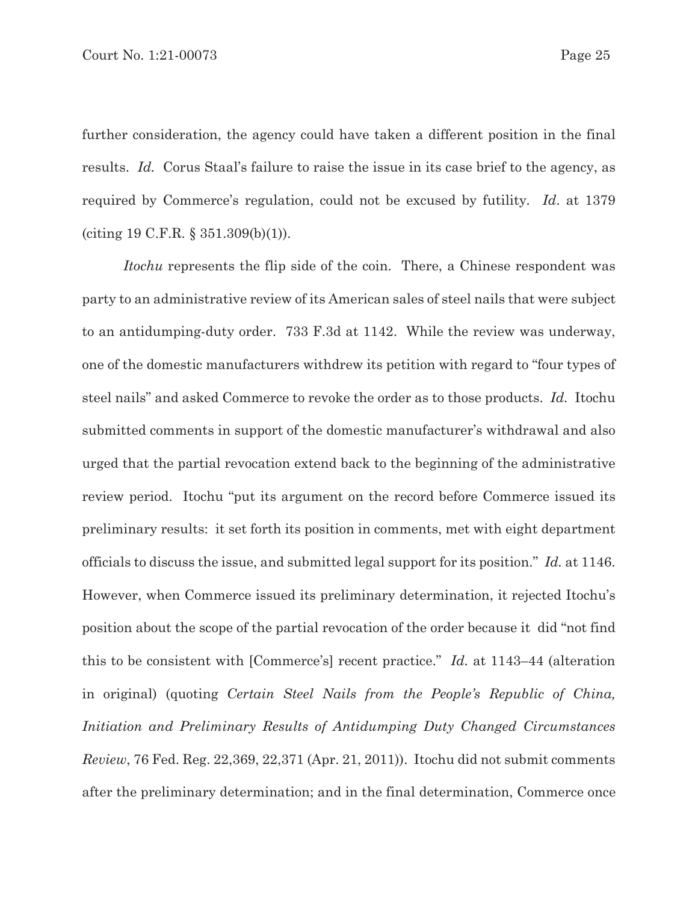further consideration, the agency could have taken a different position in the final results. *Id.* Corus Staal's failure to raise the issue in its case brief to the agency, as required by Commerce's regulation, could not be excused by futility*. Id*. at 1379 (citing 19 C.F.R. § 351.309(b)(1)).

*Itochu* represents the flip side of the coin. There, a Chinese respondent was party to an administrative review of its American sales of steel nails that were subject to an antidumping-duty order. 733 F.3d at 1142. While the review was underway, one of the domestic manufacturers withdrew its petition with regard to "four types of steel nails" and asked Commerce to revoke the order as to those products. *Id.* Itochu submitted comments in support of the domestic manufacturer's withdrawal and also urged that the partial revocation extend back to the beginning of the administrative review period. Itochu "put its argument on the record before Commerce issued its preliminary results: it set forth its position in comments, met with eight department officials to discuss the issue, and submitted legal support for its position." *Id.* at 1146. However, when Commerce issued its preliminary determination, it rejected Itochu's position about the scope of the partial revocation of the order because it did "not find this to be consistent with [Commerce's] recent practice." *Id.* at 1143–44 (alteration in original) (quoting *Certain Steel Nails from the People's Republic of China, Initiation and Preliminary Results of Antidumping Duty Changed Circumstances Review*, 76 Fed. Reg. 22,369, 22,371 (Apr. 21, 2011)). Itochu did not submit comments after the preliminary determination; and in the final determination, Commerce once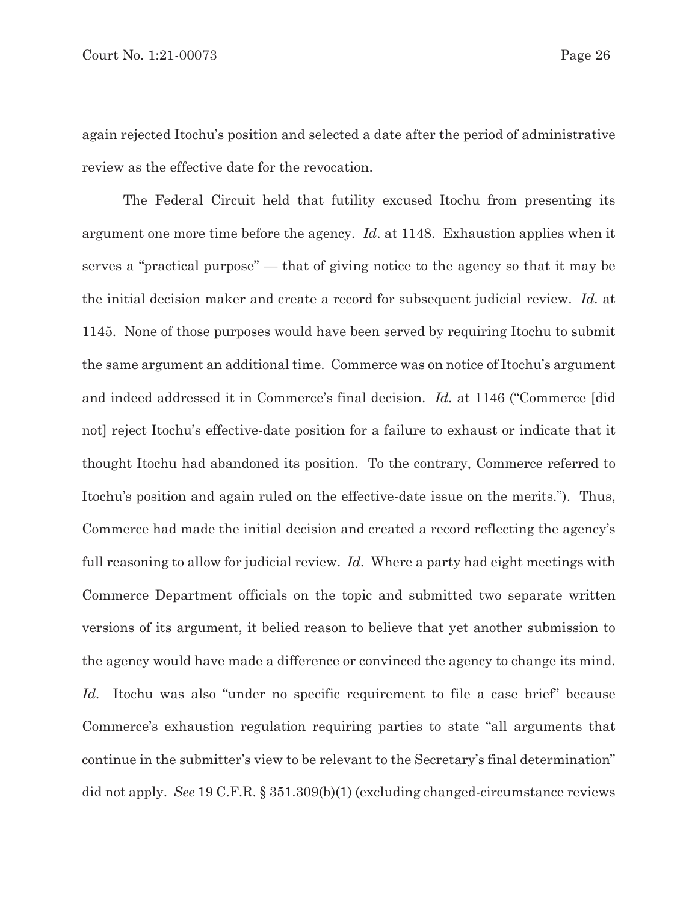again rejected Itochu's position and selected a date after the period of administrative review as the effective date for the revocation.

The Federal Circuit held that futility excused Itochu from presenting its argument one more time before the agency*. Id*. at 1148. Exhaustion applies when it serves a "practical purpose" — that of giving notice to the agency so that it may be the initial decision maker and create a record for subsequent judicial review. *Id.* at 1145. None of those purposes would have been served by requiring Itochu to submit the same argument an additional time. Commerce was on notice of Itochu's argument and indeed addressed it in Commerce's final decision. *Id.* at 1146 ("Commerce [did not] reject Itochu's effective-date position for a failure to exhaust or indicate that it thought Itochu had abandoned its position. To the contrary, Commerce referred to Itochu's position and again ruled on the effective-date issue on the merits."). Thus, Commerce had made the initial decision and created a record reflecting the agency's full reasoning to allow for judicial review. *Id.* Where a party had eight meetings with Commerce Department officials on the topic and submitted two separate written versions of its argument, it belied reason to believe that yet another submission to the agency would have made a difference or convinced the agency to change its mind. *Id.* Itochu was also "under no specific requirement to file a case brief" because Commerce's exhaustion regulation requiring parties to state "all arguments that continue in the submitter's view to be relevant to the Secretary's final determination" did not apply. *See* 19 C.F.R. § 351.309(b)(1) (excluding changed-circumstance reviews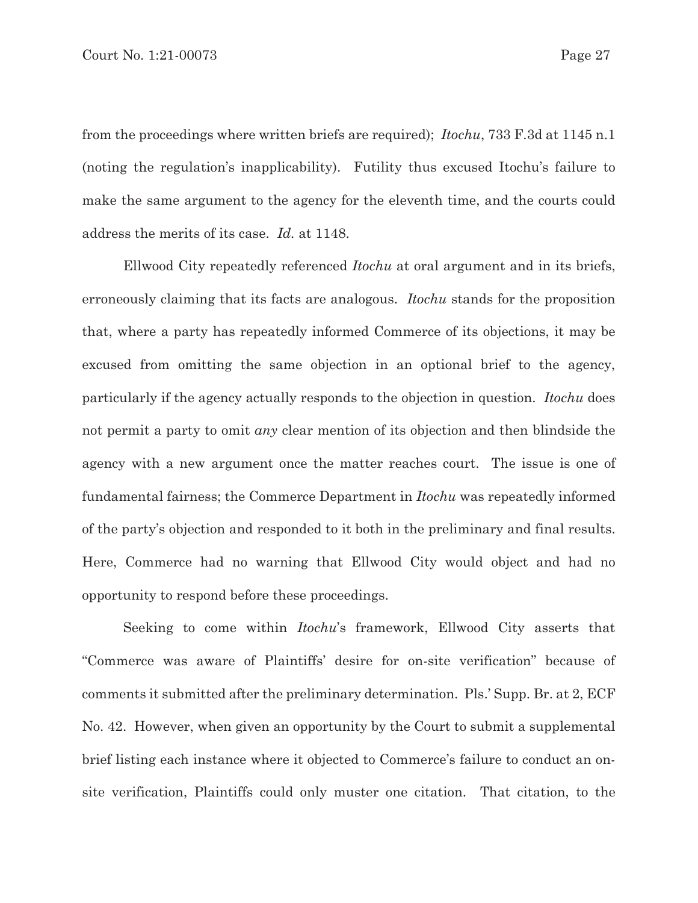from the proceedings where written briefs are required); *Itochu*, 733 F.3d at 1145 n.1 (noting the regulation's inapplicability). Futility thus excused Itochu's failure to make the same argument to the agency for the eleventh time, and the courts could address the merits of its case. *Id.* at 1148.

Ellwood City repeatedly referenced *Itochu* at oral argument and in its briefs, erroneously claiming that its facts are analogous. *Itochu* stands for the proposition that, where a party has repeatedly informed Commerce of its objections, it may be excused from omitting the same objection in an optional brief to the agency, particularly if the agency actually responds to the objection in question. *Itochu* does not permit a party to omit *any* clear mention of its objection and then blindside the agency with a new argument once the matter reaches court. The issue is one of fundamental fairness; the Commerce Department in *Itochu* was repeatedly informed of the party's objection and responded to it both in the preliminary and final results. Here, Commerce had no warning that Ellwood City would object and had no opportunity to respond before these proceedings.

Seeking to come within *Itochu*'s framework, Ellwood City asserts that "Commerce was aware of Plaintiffs' desire for on-site verification" because of comments it submitted after the preliminary determination. Pls.' Supp. Br. at 2, ECF No. 42. However, when given an opportunity by the Court to submit a supplemental brief listing each instance where it objected to Commerce's failure to conduct an onsite verification, Plaintiffs could only muster one citation. That citation, to the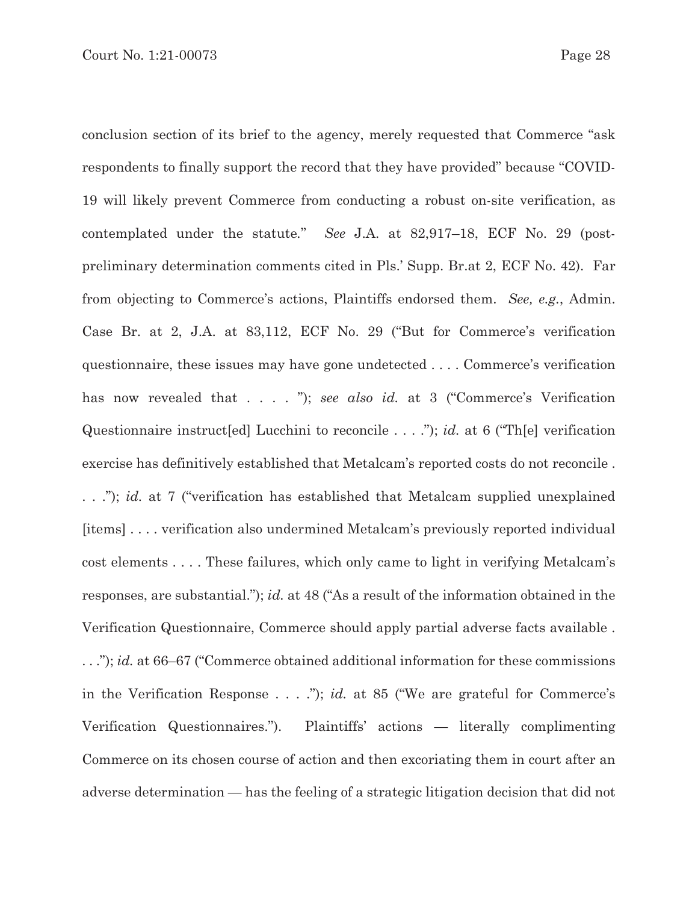conclusion section of its brief to the agency, merely requested that Commerce "ask respondents to finally support the record that they have provided" because "COVID-19 will likely prevent Commerce from conducting a robust on-site verification, as contemplated under the statute*.*" *See* J.A. at 82,917–18, ECF No. 29 (postpreliminary determination comments cited in Pls.' Supp. Br.at 2, ECF No. 42). Far from objecting to Commerce's actions, Plaintiffs endorsed them. *See, e.g.*, Admin. Case Br. at 2, J.A. at 83,112, ECF No. 29 ("But for Commerce's verification questionnaire, these issues may have gone undetected . . . . Commerce's verification has now revealed that . . . . "); *see also id.* at 3 ("Commerce's Verification Questionnaire instruct[ed] Lucchini to reconcile . . . ."); *id.* at 6 ("Th[e] verification exercise has definitively established that Metalcam's reported costs do not reconcile . . . ."); *id.* at 7 ("verification has established that Metalcam supplied unexplained [items] . . . . verification also undermined Metalcam's previously reported individual cost elements . . . . These failures, which only came to light in verifying Metalcam's responses, are substantial."); *id.* at 48 ("As a result of the information obtained in the Verification Questionnaire, Commerce should apply partial adverse facts available . . . ."); *id.* at 66–67 ("Commerce obtained additional information for these commissions in the Verification Response . . . ."); *id.* at 85 ("We are grateful for Commerce's Verification Questionnaires."). Plaintiffs' actions — literally complimenting Commerce on its chosen course of action and then excoriating them in court after an adverse determination — has the feeling of a strategic litigation decision that did not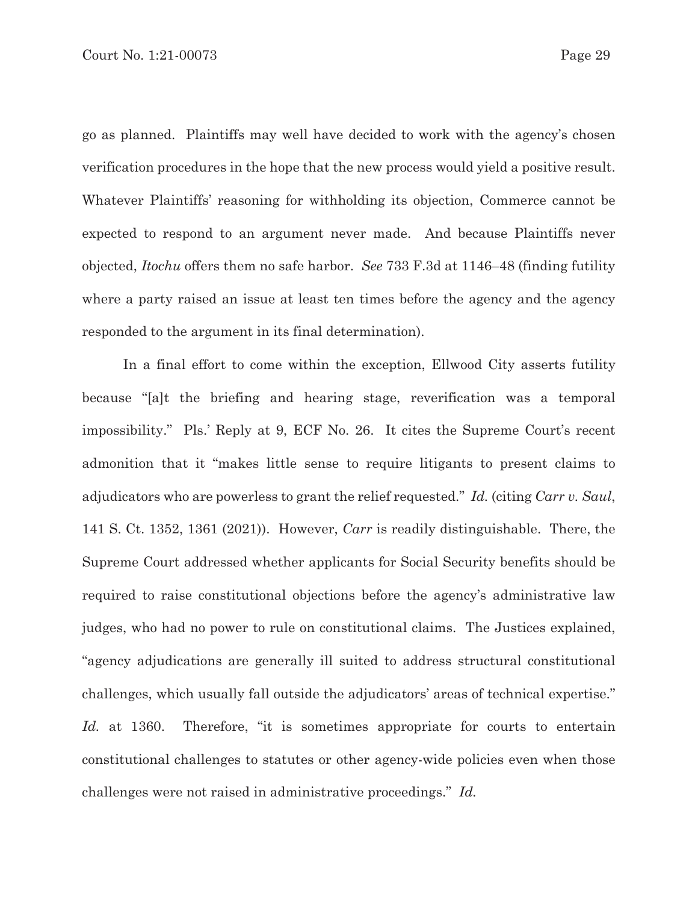go as planned. Plaintiffs may well have decided to work with the agency's chosen verification procedures in the hope that the new process would yield a positive result. Whatever Plaintiffs' reasoning for withholding its objection, Commerce cannot be expected to respond to an argument never made. And because Plaintiffs never objected, *Itochu* offers them no safe harbor. *See* 733 F.3d at 1146–48 (finding futility

where a party raised an issue at least ten times before the agency and the agency responded to the argument in its final determination).

In a final effort to come within the exception, Ellwood City asserts futility because "[a]t the briefing and hearing stage, reverification was a temporal impossibility." Pls.' Reply at 9, ECF No. 26. It cites the Supreme Court's recent admonition that it "makes little sense to require litigants to present claims to adjudicators who are powerless to grant the relief requested." *Id.* (citing *Carr v. Saul*, 141 S. Ct. 1352, 1361 (2021)). However, *Carr* is readily distinguishable. There, the Supreme Court addressed whether applicants for Social Security benefits should be required to raise constitutional objections before the agency's administrative law judges, who had no power to rule on constitutional claims. The Justices explained, "agency adjudications are generally ill suited to address structural constitutional challenges, which usually fall outside the adjudicators' areas of technical expertise." *Id.* at 1360. Therefore, "it is sometimes appropriate for courts to entertain constitutional challenges to statutes or other agency-wide policies even when those challenges were not raised in administrative proceedings." *Id.*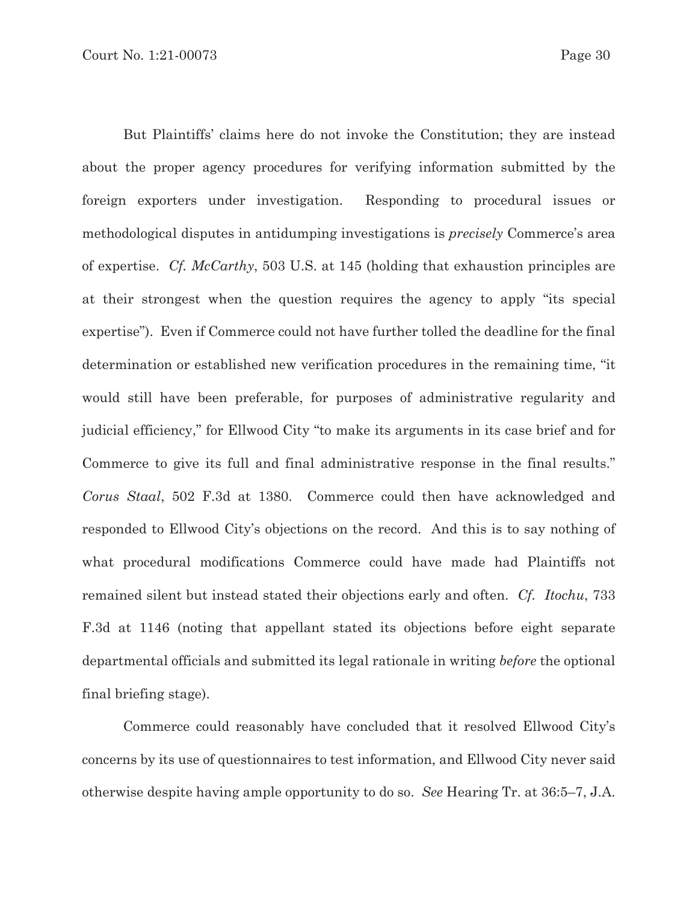But Plaintiffs' claims here do not invoke the Constitution; they are instead about the proper agency procedures for verifying information submitted by the foreign exporters under investigation. Responding to procedural issues or methodological disputes in antidumping investigations is *precisely* Commerce's area of expertise. *Cf. McCarthy*, 503 U.S. at 145 (holding that exhaustion principles are at their strongest when the question requires the agency to apply "its special expertise"). Even if Commerce could not have further tolled the deadline for the final determination or established new verification procedures in the remaining time, "it would still have been preferable, for purposes of administrative regularity and judicial efficiency," for Ellwood City "to make its arguments in its case brief and for Commerce to give its full and final administrative response in the final results." *Corus Staal*, 502 F.3d at 1380. Commerce could then have acknowledged and responded to Ellwood City's objections on the record. And this is to say nothing of what procedural modifications Commerce could have made had Plaintiffs not remained silent but instead stated their objections early and often. *Cf. Itochu*, 733 F.3d at 1146 (noting that appellant stated its objections before eight separate departmental officials and submitted its legal rationale in writing *before* the optional final briefing stage).

Commerce could reasonably have concluded that it resolved Ellwood City's concerns by its use of questionnaires to test information, and Ellwood City never said otherwise despite having ample opportunity to do so. *See* Hearing Tr. at 36:5–7, J.A.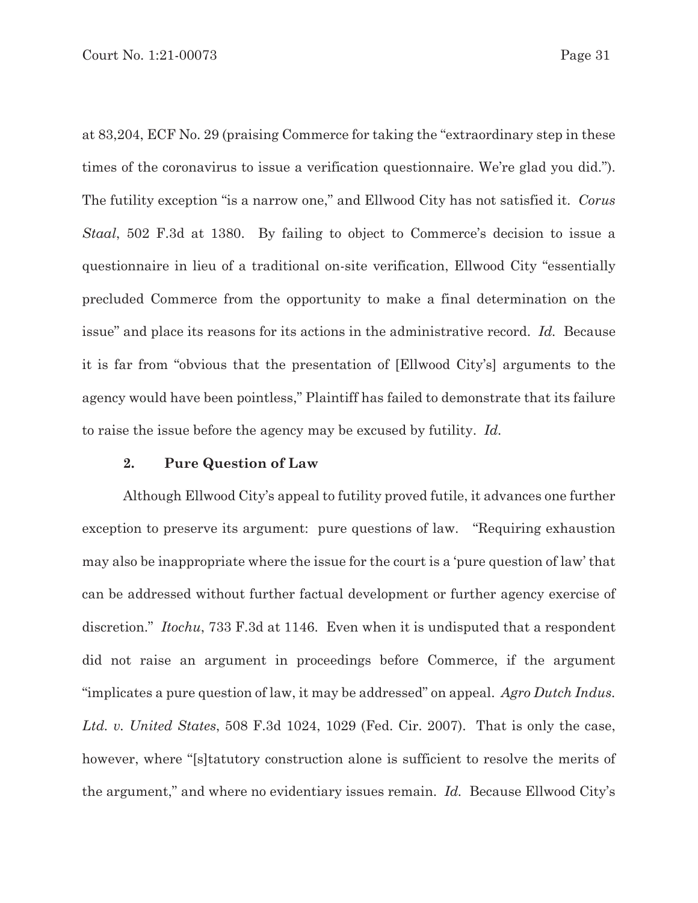at 83,204, ECF No. 29 (praising Commerce for taking the "extraordinary step in these times of the coronavirus to issue a verification questionnaire. We're glad you did."). The futility exception "is a narrow one," and Ellwood City has not satisfied it. *Corus Staal*, 502 F.3d at 1380. By failing to object to Commerce's decision to issue a questionnaire in lieu of a traditional on-site verification, Ellwood City "essentially precluded Commerce from the opportunity to make a final determination on the issue" and place its reasons for its actions in the administrative record. *Id.* Because it is far from "obvious that the presentation of [Ellwood City's] arguments to the agency would have been pointless," Plaintiff has failed to demonstrate that its failure to raise the issue before the agency may be excused by futility. *Id.*

### **2. Pure Question of Law**

Although Ellwood City's appeal to futility proved futile, it advances one further exception to preserve its argument: pure questions of law. "Requiring exhaustion may also be inappropriate where the issue for the court is a 'pure question of law' that can be addressed without further factual development or further agency exercise of discretion." *Itochu*, 733 F.3d at 1146. Even when it is undisputed that a respondent did not raise an argument in proceedings before Commerce, if the argument "implicates a pure question of law, it may be addressed" on appeal. *Agro Dutch Indus. Ltd. v. United States*, 508 F.3d 1024, 1029 (Fed. Cir. 2007). That is only the case, however, where "[s]tatutory construction alone is sufficient to resolve the merits of the argument," and where no evidentiary issues remain. *Id.* Because Ellwood City's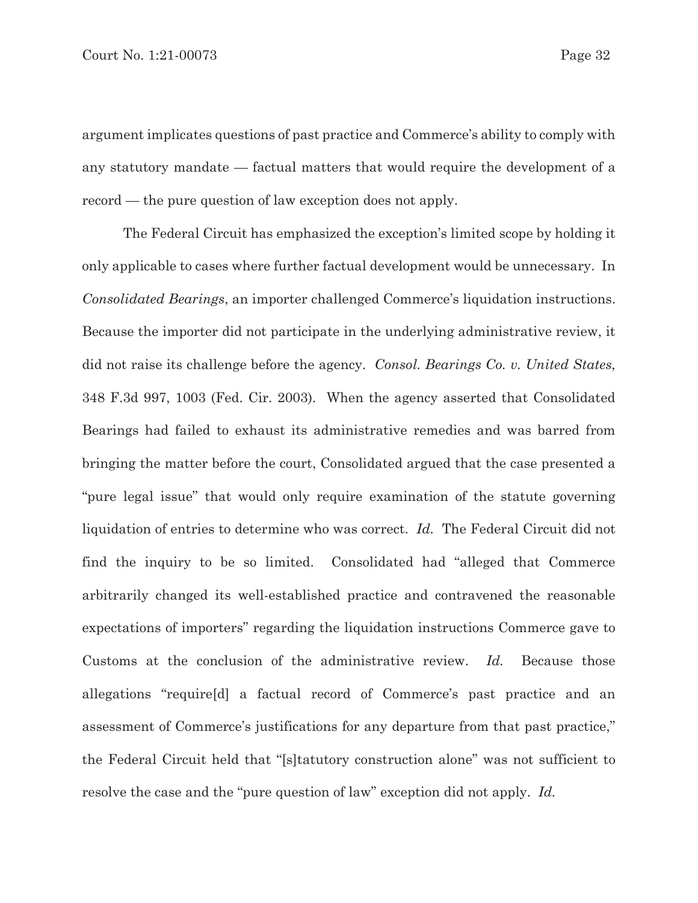argument implicates questions of past practice and Commerce's ability to comply with any statutory mandate — factual matters that would require the development of a record — the pure question of law exception does not apply.

The Federal Circuit has emphasized the exception's limited scope by holding it only applicable to cases where further factual development would be unnecessary. In *Consolidated Bearings*, an importer challenged Commerce's liquidation instructions. Because the importer did not participate in the underlying administrative review, it did not raise its challenge before the agency. *Consol. Bearings Co. v. United States*, 348 F.3d 997, 1003 (Fed. Cir. 2003). When the agency asserted that Consolidated Bearings had failed to exhaust its administrative remedies and was barred from bringing the matter before the court, Consolidated argued that the case presented a "pure legal issue" that would only require examination of the statute governing liquidation of entries to determine who was correct. *Id.* The Federal Circuit did not find the inquiry to be so limited. Consolidated had "alleged that Commerce arbitrarily changed its well-established practice and contravened the reasonable expectations of importers" regarding the liquidation instructions Commerce gave to Customs at the conclusion of the administrative review. *Id.* Because those allegations "require[d] a factual record of Commerce's past practice and an assessment of Commerce's justifications for any departure from that past practice," the Federal Circuit held that "[s]tatutory construction alone" was not sufficient to resolve the case and the "pure question of law" exception did not apply. *Id.*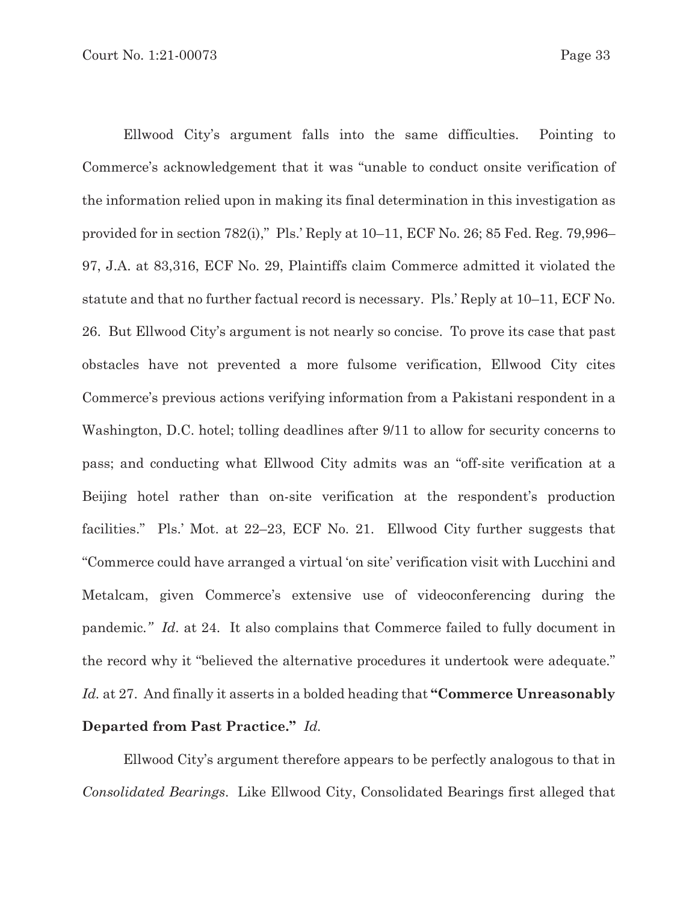Ellwood City's argument falls into the same difficulties. Pointing to Commerce's acknowledgement that it was "unable to conduct onsite verification of the information relied upon in making its final determination in this investigation as provided for in section 782(i)," Pls.' Reply at 10–11, ECF No. 26; 85 Fed. Reg. 79,996– 97, J.A. at 83,316, ECF No. 29, Plaintiffs claim Commerce admitted it violated the statute and that no further factual record is necessary. Pls.' Reply at 10–11, ECF No. 26. But Ellwood City's argument is not nearly so concise. To prove its case that past obstacles have not prevented a more fulsome verification, Ellwood City cites Commerce's previous actions verifying information from a Pakistani respondent in a Washington, D.C. hotel; tolling deadlines after 9/11 to allow for security concerns to pass; and conducting what Ellwood City admits was an "off-site verification at a Beijing hotel rather than on-site verification at the respondent's production facilities." Pls.' Mot. at 22–23, ECF No. 21. Ellwood City further suggests that "Commerce could have arranged a virtual 'on site' verification visit with Lucchini and Metalcam, given Commerce's extensive use of videoconferencing during the pandemic*." Id*. at 24. It also complains that Commerce failed to fully document in the record why it "believed the alternative procedures it undertook were adequate." *Id.* at 27. And finally it asserts in a bolded heading that **"Commerce Unreasonably Departed from Past Practice."** *Id.*

Ellwood City's argument therefore appears to be perfectly analogous to that in *Consolidated Bearings*.Like Ellwood City, Consolidated Bearings first alleged that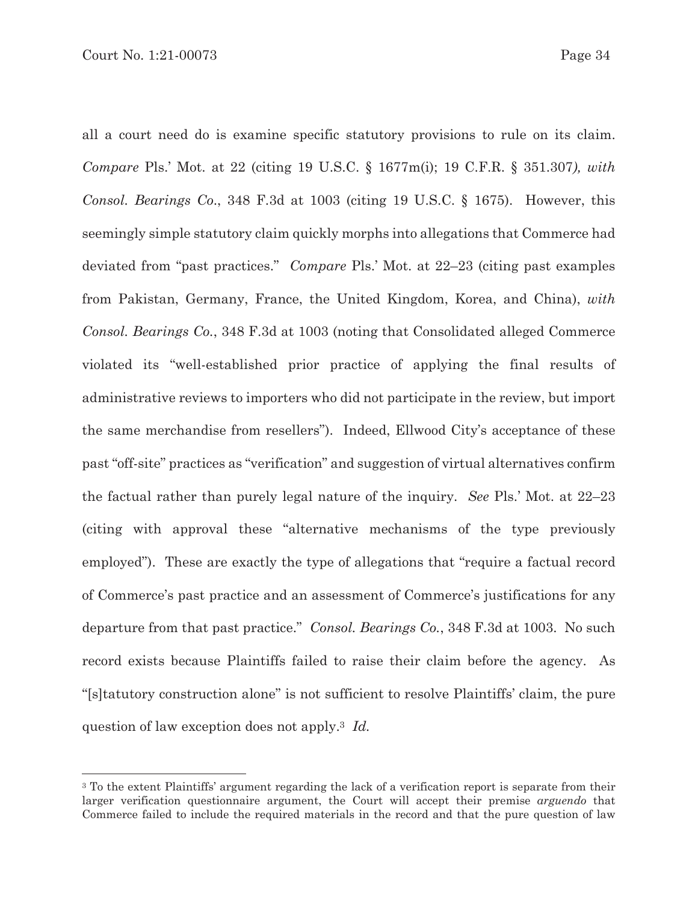all a court need do is examine specific statutory provisions to rule on its claim. *Compare* Pls.' Mot. at 22 (citing 19 U.S.C. § 1677m(i); 19 C.F.R. § 351.307*), with Consol. Bearings Co*., 348 F.3d at 1003 (citing 19 U.S.C. § 1675). However, this seemingly simple statutory claim quickly morphs into allegations that Commerce had deviated from "past practices." *Compare* Pls.' Mot. at 22–23 (citing past examples from Pakistan, Germany, France, the United Kingdom, Korea, and China), *with Consol. Bearings Co.*, 348 F.3d at 1003 (noting that Consolidated alleged Commerce violated its "well-established prior practice of applying the final results of administrative reviews to importers who did not participate in the review, but import the same merchandise from resellers"). Indeed, Ellwood City's acceptance of these past "off-site" practices as "verification" and suggestion of virtual alternatives confirm the factual rather than purely legal nature of the inquiry. *See* Pls.' Mot. at 22–23 (citing with approval these "alternative mechanisms of the type previously employed"). These are exactly the type of allegations that "require a factual record of Commerce's past practice and an assessment of Commerce's justifications for any departure from that past practice." *Consol. Bearings Co.*, 348 F.3d at 1003. No such record exists because Plaintiffs failed to raise their claim before the agency. As "[s]tatutory construction alone" is not sufficient to resolve Plaintiffs' claim, the pure question of law exception does not apply.3 *Id.*

<sup>3</sup> To the extent Plaintiffs' argument regarding the lack of a verification report is separate from their larger verification questionnaire argument, the Court will accept their premise *arguendo* that Commerce failed to include the required materials in the record and that the pure question of law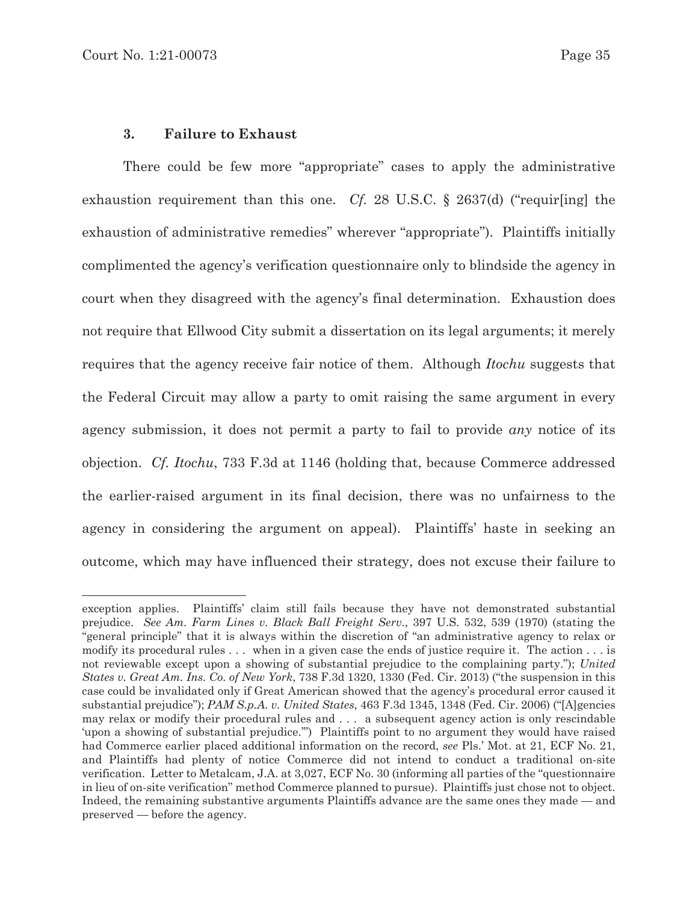### **3. Failure to Exhaust**

There could be few more "appropriate" cases to apply the administrative exhaustion requirement than this one. *Cf.* 28 U.S.C. § 2637(d) ("requir[ing] the exhaustion of administrative remedies" wherever "appropriate"). Plaintiffs initially complimented the agency's verification questionnaire only to blindside the agency in court when they disagreed with the agency's final determination. Exhaustion does not require that Ellwood City submit a dissertation on its legal arguments; it merely requires that the agency receive fair notice of them. Although *Itochu* suggests that the Federal Circuit may allow a party to omit raising the same argument in every agency submission, it does not permit a party to fail to provide *any* notice of its objection. *Cf. Itochu*, 733 F.3d at 1146 (holding that, because Commerce addressed the earlier-raised argument in its final decision, there was no unfairness to the agency in considering the argument on appeal). Plaintiffs' haste in seeking an outcome, which may have influenced their strategy, does not excuse their failure to

exception applies. Plaintiffs' claim still fails because they have not demonstrated substantial prejudice. *See Am. Farm Lines v. Black Ball Freight Serv.*, 397 U.S. 532, 539 (1970) (stating the "general principle" that it is always within the discretion of "an administrative agency to relax or modify its procedural rules . . . when in a given case the ends of justice require it. The action . . . is not reviewable except upon a showing of substantial prejudice to the complaining party."); *United States v. Great Am. Ins. Co. of New York*, 738 F.3d 1320, 1330 (Fed. Cir. 2013) ("the suspension in this case could be invalidated only if Great American showed that the agency's procedural error caused it substantial prejudice"); *PAM S.p.A. v. United States*, 463 F.3d 1345, 1348 (Fed. Cir. 2006) ("[A]gencies may relax or modify their procedural rules and . . . a subsequent agency action is only rescindable 'upon a showing of substantial prejudice.'") Plaintiffs point to no argument they would have raised had Commerce earlier placed additional information on the record, *see* Pls.' Mot. at 21, ECF No. 21, and Plaintiffs had plenty of notice Commerce did not intend to conduct a traditional on-site verification. Letter to Metalcam, J.A. at 3,027, ECF No. 30 (informing all parties of the "questionnaire in lieu of on-site verification" method Commerce planned to pursue). Plaintiffs just chose not to object. Indeed, the remaining substantive arguments Plaintiffs advance are the same ones they made — and preserved — before the agency.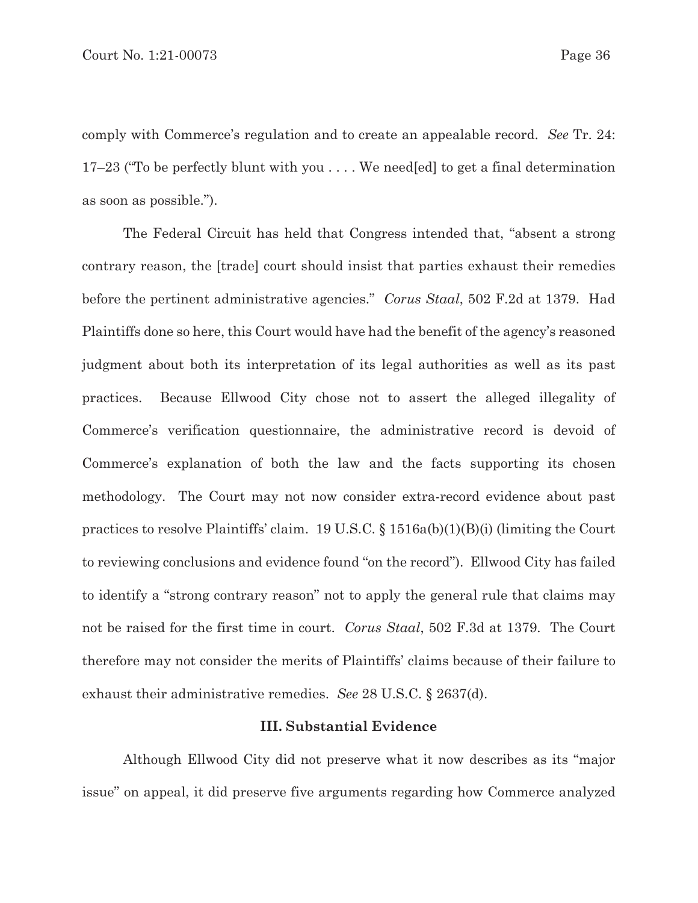comply with Commerce's regulation and to create an appealable record. *See* Tr. 24: 17–23 ("To be perfectly blunt with you . . . . We need[ed] to get a final determination as soon as possible.").

The Federal Circuit has held that Congress intended that, "absent a strong contrary reason, the [trade] court should insist that parties exhaust their remedies before the pertinent administrative agencies." *Corus Staal*, 502 F.2d at 1379. Had Plaintiffs done so here, this Court would have had the benefit of the agency's reasoned judgment about both its interpretation of its legal authorities as well as its past practices. Because Ellwood City chose not to assert the alleged illegality of Commerce's verification questionnaire, the administrative record is devoid of Commerce's explanation of both the law and the facts supporting its chosen methodology. The Court may not now consider extra-record evidence about past practices to resolve Plaintiffs' claim. 19 U.S.C. § 1516a(b)(1)(B)(i) (limiting the Court to reviewing conclusions and evidence found "on the record"). Ellwood City has failed to identify a "strong contrary reason" not to apply the general rule that claims may not be raised for the first time in court. *Corus Staal*, 502 F.3d at 1379. The Court therefore may not consider the merits of Plaintiffs' claims because of their failure to exhaust their administrative remedies. *See* 28 U.S.C. § 2637(d).

### **III. Substantial Evidence**

Although Ellwood City did not preserve what it now describes as its "major issue" on appeal, it did preserve five arguments regarding how Commerce analyzed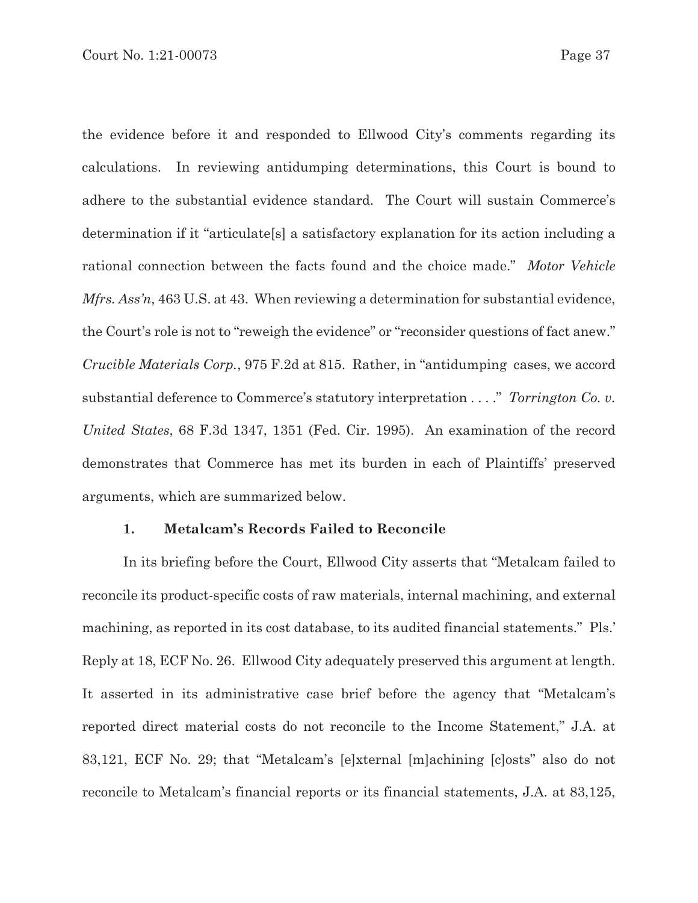the evidence before it and responded to Ellwood City's comments regarding its calculations. In reviewing antidumping determinations, this Court is bound to adhere to the substantial evidence standard. The Court will sustain Commerce's determination if it "articulate[s] a satisfactory explanation for its action including a rational connection between the facts found and the choice made." *Motor Vehicle Mfrs. Ass'n,* 463 U.S. at 43. When reviewing a determination for substantial evidence, the Court's role is not to "reweigh the evidence" or "reconsider questions of fact anew." *Crucible Materials Corp.*, 975 F.2d at 815. Rather, in "antidumping cases, we accord substantial deference to Commerce's statutory interpretation . . . ." *Torrington Co. v. United States*, 68 F.3d 1347, 1351 (Fed. Cir. 1995). An examination of the record demonstrates that Commerce has met its burden in each of Plaintiffs' preserved arguments, which are summarized below.

### **1. Metalcam's Records Failed to Reconcile**

 In its briefing before the Court, Ellwood City asserts that "Metalcam failed to reconcile its product-specific costs of raw materials, internal machining, and external machining, as reported in its cost database, to its audited financial statements." Pls.' Reply at 18, ECF No. 26. Ellwood City adequately preserved this argument at length. It asserted in its administrative case brief before the agency that "Metalcam's reported direct material costs do not reconcile to the Income Statement," J.A. at 83,121, ECF No. 29; that "Metalcam's [e]xternal [m]achining [c]osts" also do not reconcile to Metalcam's financial reports or its financial statements, J.A. at 83,125,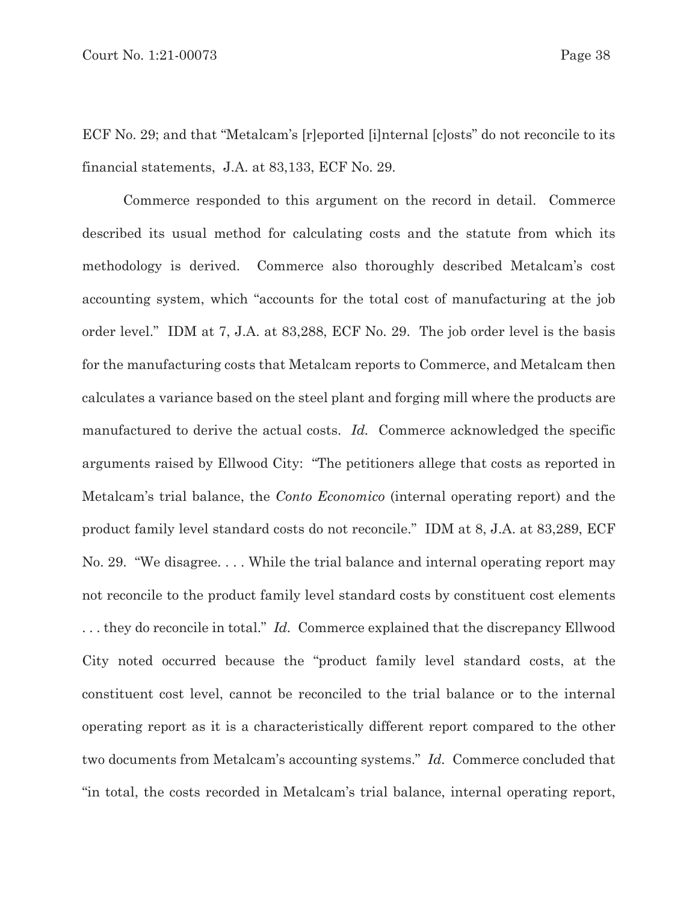ECF No. 29; and that "Metalcam's [r]eported [i]nternal [c]osts" do not reconcile to its financial statements, J.A. at 83,133, ECF No. 29.

 Commerce responded to this argument on the record in detail. Commerce described its usual method for calculating costs and the statute from which its methodology is derived. Commerce also thoroughly described Metalcam's cost accounting system, which "accounts for the total cost of manufacturing at the job order level." IDM at 7, J.A. at 83,288, ECF No. 29. The job order level is the basis for the manufacturing costs that Metalcam reports to Commerce, and Metalcam then calculates a variance based on the steel plant and forging mill where the products are manufactured to derive the actual costs. *Id.* Commerce acknowledged the specific arguments raised by Ellwood City: "The petitioners allege that costs as reported in Metalcam's trial balance, the *Conto Economico* (internal operating report) and the product family level standard costs do not reconcile." IDM at 8, J.A. at 83,289, ECF No. 29. "We disagree. . . . While the trial balance and internal operating report may not reconcile to the product family level standard costs by constituent cost elements . . . they do reconcile in total." *Id.* Commerce explained that the discrepancy Ellwood City noted occurred because the "product family level standard costs, at the constituent cost level, cannot be reconciled to the trial balance or to the internal operating report as it is a characteristically different report compared to the other two documents from Metalcam's accounting systems." *Id.* Commerce concluded that "in total, the costs recorded in Metalcam's trial balance, internal operating report,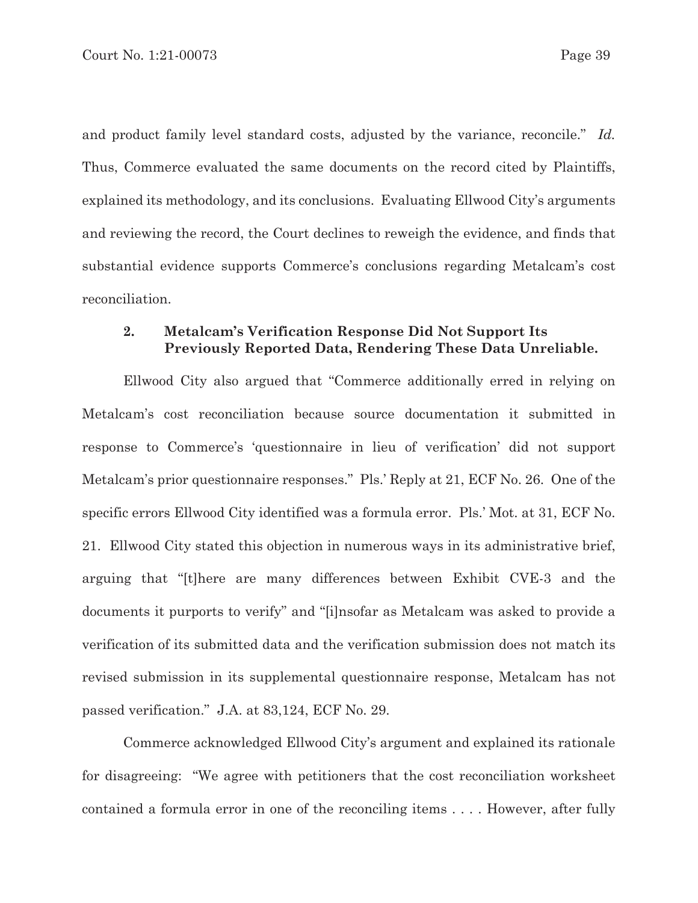and product family level standard costs, adjusted by the variance, reconcile." *Id.* Thus, Commerce evaluated the same documents on the record cited by Plaintiffs, explained its methodology, and its conclusions. Evaluating Ellwood City's arguments and reviewing the record, the Court declines to reweigh the evidence, and finds that substantial evidence supports Commerce's conclusions regarding Metalcam's cost reconciliation.

# **2. Metalcam's Verification Response Did Not Support Its Previously Reported Data, Rendering These Data Unreliable.**

 Ellwood City also argued that "Commerce additionally erred in relying on Metalcam's cost reconciliation because source documentation it submitted in response to Commerce's 'questionnaire in lieu of verification' did not support Metalcam's prior questionnaire responses." Pls.' Reply at 21, ECF No. 26. One of the specific errors Ellwood City identified was a formula error. Pls.' Mot. at 31, ECF No. 21. Ellwood City stated this objection in numerous ways in its administrative brief, arguing that "[t]here are many differences between Exhibit CVE-3 and the documents it purports to verify" and "[i]nsofar as Metalcam was asked to provide a verification of its submitted data and the verification submission does not match its revised submission in its supplemental questionnaire response, Metalcam has not passed verification." J.A. at 83,124, ECF No. 29.

 Commerce acknowledged Ellwood City's argument and explained its rationale for disagreeing: "We agree with petitioners that the cost reconciliation worksheet contained a formula error in one of the reconciling items . . . . However, after fully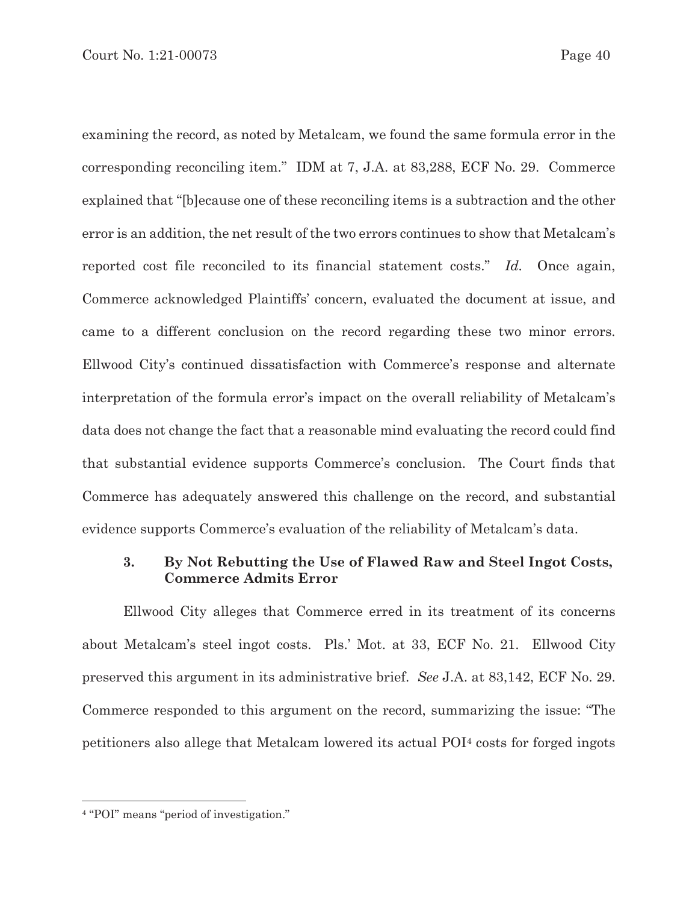examining the record, as noted by Metalcam, we found the same formula error in the corresponding reconciling item." IDM at 7, J.A. at 83,288, ECF No. 29. Commerce explained that "[b]ecause one of these reconciling items is a subtraction and the other error is an addition, the net result of the two errors continues to show that Metalcam's reported cost file reconciled to its financial statement costs." *Id.* Once again, Commerce acknowledged Plaintiffs' concern, evaluated the document at issue, and came to a different conclusion on the record regarding these two minor errors. Ellwood City's continued dissatisfaction with Commerce's response and alternate interpretation of the formula error's impact on the overall reliability of Metalcam's data does not change the fact that a reasonable mind evaluating the record could find that substantial evidence supports Commerce's conclusion. The Court finds that Commerce has adequately answered this challenge on the record, and substantial evidence supports Commerce's evaluation of the reliability of Metalcam's data.

# **3. By Not Rebutting the Use of Flawed Raw and Steel Ingot Costs, Commerce Admits Error**

 Ellwood City alleges that Commerce erred in its treatment of its concerns about Metalcam's steel ingot costs. Pls.' Mot. at 33, ECF No. 21. Ellwood City preserved this argument in its administrative brief. *See* J.A. at 83,142, ECF No. 29. Commerce responded to this argument on the record, summarizing the issue: "The petitioners also allege that Metalcam lowered its actual POI4 costs for forged ingots

<sup>4 &</sup>quot;POI" means "period of investigation."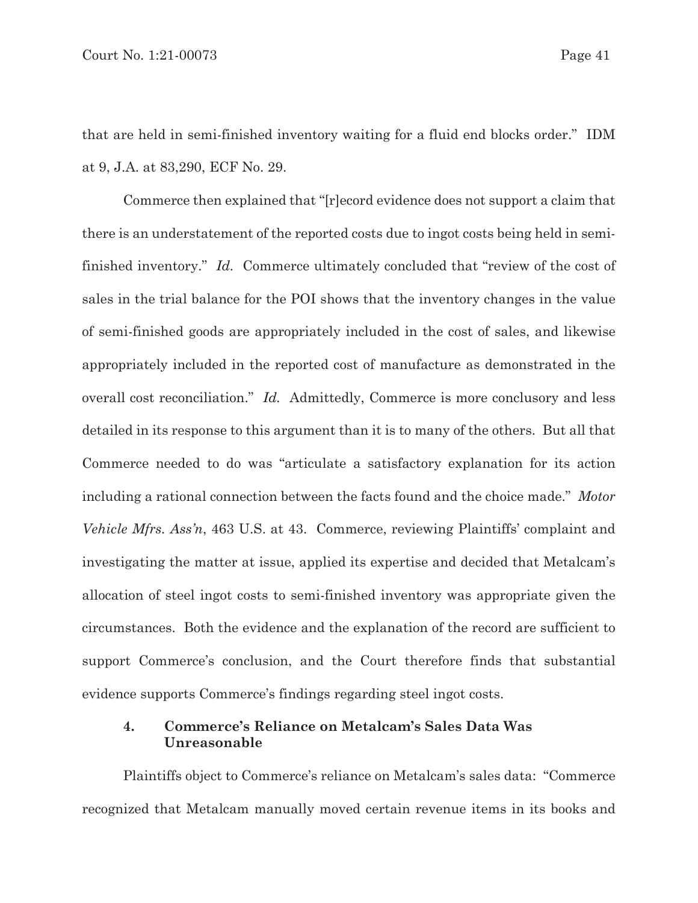that are held in semi-finished inventory waiting for a fluid end blocks order." IDM at 9, J.A. at 83,290, ECF No. 29.

 Commerce then explained that "[r]ecord evidence does not support a claim that there is an understatement of the reported costs due to ingot costs being held in semifinished inventory." *Id.* Commerce ultimately concluded that "review of the cost of sales in the trial balance for the POI shows that the inventory changes in the value of semi-finished goods are appropriately included in the cost of sales, and likewise appropriately included in the reported cost of manufacture as demonstrated in the overall cost reconciliation." *Id.* Admittedly, Commerce is more conclusory and less detailed in its response to this argument than it is to many of the others. But all that Commerce needed to do was "articulate a satisfactory explanation for its action including a rational connection between the facts found and the choice made." *Motor Vehicle Mfrs. Ass'n*, 463 U.S. at 43. Commerce, reviewing Plaintiffs' complaint and investigating the matter at issue, applied its expertise and decided that Metalcam's allocation of steel ingot costs to semi-finished inventory was appropriate given the circumstances. Both the evidence and the explanation of the record are sufficient to support Commerce's conclusion, and the Court therefore finds that substantial evidence supports Commerce's findings regarding steel ingot costs.

# **4. Commerce's Reliance on Metalcam's Sales Data Was Unreasonable**

 Plaintiffs object to Commerce's reliance on Metalcam's sales data: "Commerce recognized that Metalcam manually moved certain revenue items in its books and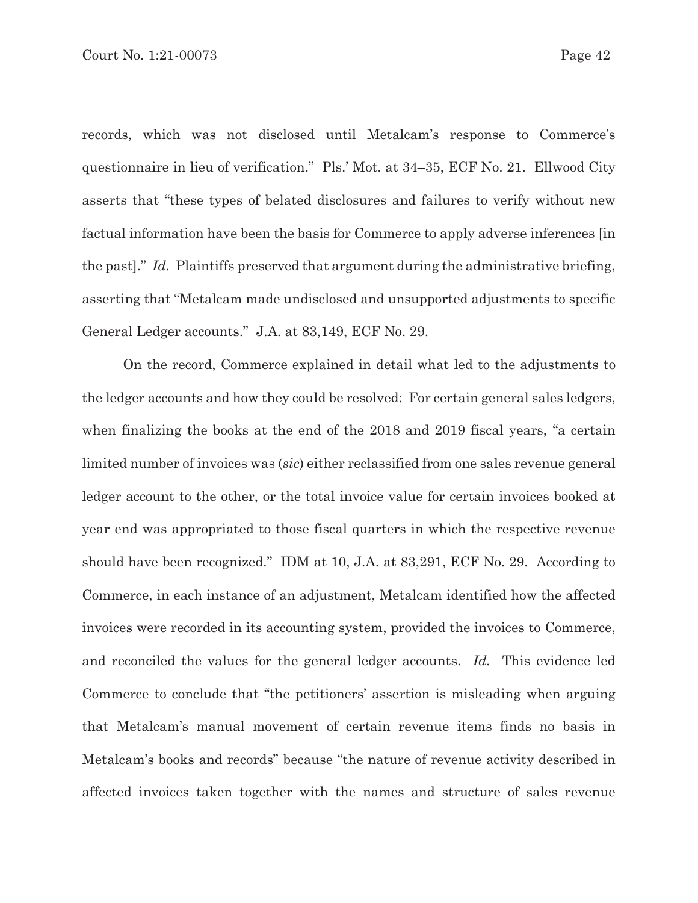records, which was not disclosed until Metalcam's response to Commerce's questionnaire in lieu of verification." Pls.' Mot. at 34–35, ECF No. 21. Ellwood City asserts that "these types of belated disclosures and failures to verify without new factual information have been the basis for Commerce to apply adverse inferences [in the past]." *Id.* Plaintiffs preserved that argument during the administrative briefing, asserting that "Metalcam made undisclosed and unsupported adjustments to specific General Ledger accounts." J.A. at 83,149, ECF No. 29.

 On the record, Commerce explained in detail what led to the adjustments to the ledger accounts and how they could be resolved: For certain general sales ledgers, when finalizing the books at the end of the 2018 and 2019 fiscal years, "a certain limited number of invoices was (*sic*) either reclassified from one sales revenue general ledger account to the other, or the total invoice value for certain invoices booked at year end was appropriated to those fiscal quarters in which the respective revenue should have been recognized." IDM at 10, J.A. at 83,291, ECF No. 29. According to Commerce, in each instance of an adjustment, Metalcam identified how the affected invoices were recorded in its accounting system, provided the invoices to Commerce, and reconciled the values for the general ledger accounts. *Id.* This evidence led Commerce to conclude that "the petitioners' assertion is misleading when arguing that Metalcam's manual movement of certain revenue items finds no basis in Metalcam's books and records" because "the nature of revenue activity described in affected invoices taken together with the names and structure of sales revenue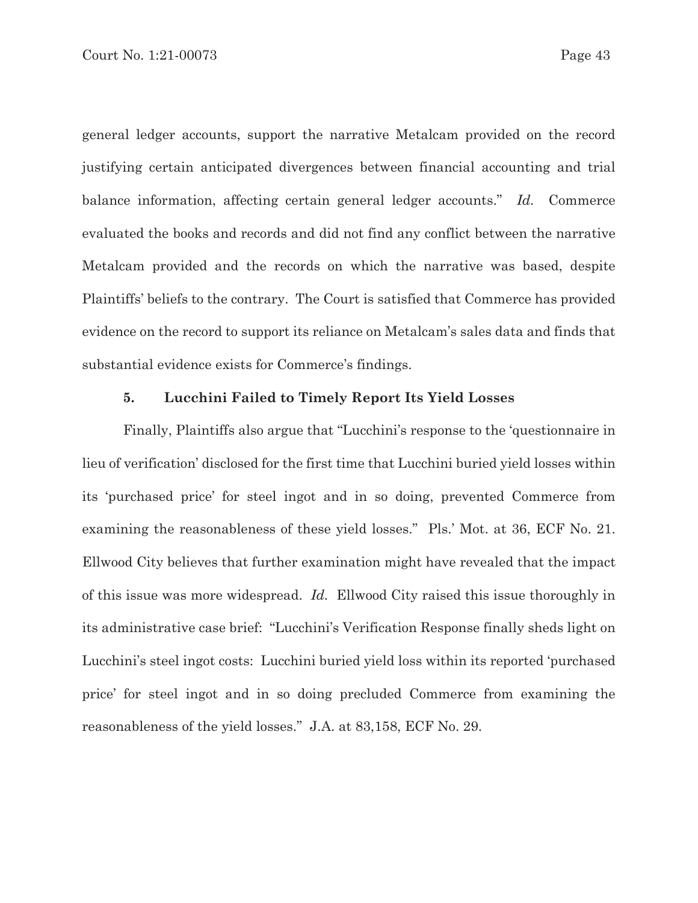general ledger accounts, support the narrative Metalcam provided on the record justifying certain anticipated divergences between financial accounting and trial balance information, affecting certain general ledger accounts." *Id.* Commerce evaluated the books and records and did not find any conflict between the narrative Metalcam provided and the records on which the narrative was based, despite Plaintiffs' beliefs to the contrary. The Court is satisfied that Commerce has provided evidence on the record to support its reliance on Metalcam's sales data and finds that substantial evidence exists for Commerce's findings.

### **5. Lucchini Failed to Timely Report Its Yield Losses**

 Finally, Plaintiffs also argue that "Lucchini's response to the 'questionnaire in lieu of verification' disclosed for the first time that Lucchini buried yield losses within its 'purchased price' for steel ingot and in so doing, prevented Commerce from examining the reasonableness of these yield losses." Pls.' Mot. at 36, ECF No. 21. Ellwood City believes that further examination might have revealed that the impact of this issue was more widespread. *Id.* Ellwood City raised this issue thoroughly in its administrative case brief: "Lucchini's Verification Response finally sheds light on Lucchini's steel ingot costs: Lucchini buried yield loss within its reported 'purchased price' for steel ingot and in so doing precluded Commerce from examining the reasonableness of the yield losses." J.A. at 83,158, ECF No. 29.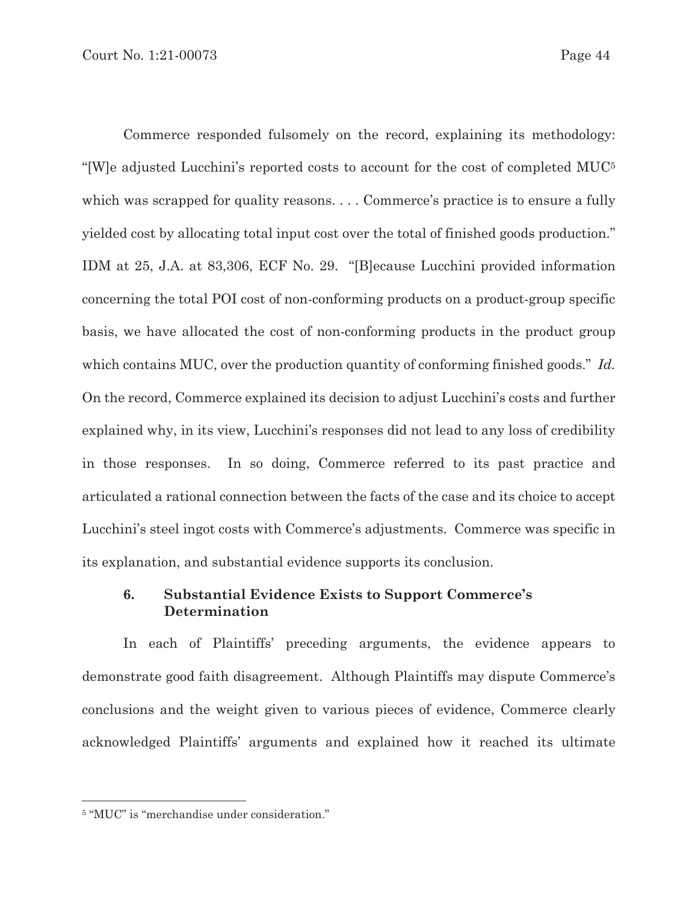Commerce responded fulsomely on the record, explaining its methodology: "[W]e adjusted Lucchini's reported costs to account for the cost of completed MUC5 which was scrapped for quality reasons. . . . Commerce's practice is to ensure a fully yielded cost by allocating total input cost over the total of finished goods production." IDM at 25, J.A. at 83,306, ECF No. 29. "[B]ecause Lucchini provided information concerning the total POI cost of non-conforming products on a product-group specific basis, we have allocated the cost of non-conforming products in the product group which contains MUC, over the production quantity of conforming finished goods." *Id.* On the record, Commerce explained its decision to adjust Lucchini's costs and further explained why, in its view, Lucchini's responses did not lead to any loss of credibility in those responses. In so doing, Commerce referred to its past practice and articulated a rational connection between the facts of the case and its choice to accept Lucchini's steel ingot costs with Commerce's adjustments. Commerce was specific in its explanation, and substantial evidence supports its conclusion.

# **6. Substantial Evidence Exists to Support Commerce's Determination**

In each of Plaintiffs' preceding arguments, the evidence appears to demonstrate good faith disagreement. Although Plaintiffs may dispute Commerce's conclusions and the weight given to various pieces of evidence, Commerce clearly acknowledged Plaintiffs' arguments and explained how it reached its ultimate

<sup>5 &</sup>quot;MUC" is "merchandise under consideration."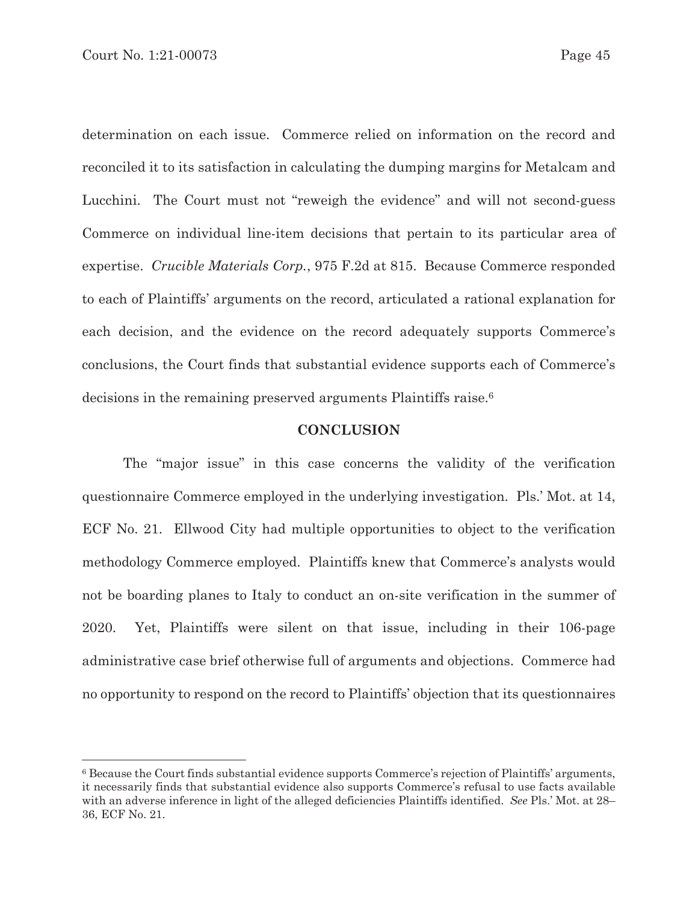determination on each issue. Commerce relied on information on the record and reconciled it to its satisfaction in calculating the dumping margins for Metalcam and Lucchini. The Court must not "reweigh the evidence" and will not second-guess Commerce on individual line-item decisions that pertain to its particular area of expertise. *Crucible Materials Corp.*, 975 F.2d at 815. Because Commerce responded to each of Plaintiffs' arguments on the record, articulated a rational explanation for each decision, and the evidence on the record adequately supports Commerce's conclusions, the Court finds that substantial evidence supports each of Commerce's decisions in the remaining preserved arguments Plaintiffs raise.6

### **CONCLUSION**

 The "major issue" in this case concerns the validity of the verification questionnaire Commerce employed in the underlying investigation. Pls.' Mot. at 14, ECF No. 21. Ellwood City had multiple opportunities to object to the verification methodology Commerce employed. Plaintiffs knew that Commerce's analysts would not be boarding planes to Italy to conduct an on-site verification in the summer of 2020. Yet, Plaintiffs were silent on that issue, including in their 106-page administrative case brief otherwise full of arguments and objections. Commerce had no opportunity to respond on the record to Plaintiffs' objection that its questionnaires

<sup>6</sup> Because the Court finds substantial evidence supports Commerce's rejection of Plaintiffs' arguments, it necessarily finds that substantial evidence also supports Commerce's refusal to use facts available with an adverse inference in light of the alleged deficiencies Plaintiffs identified. *See* Pls.' Mot. at 28– 36, ECF No. 21.